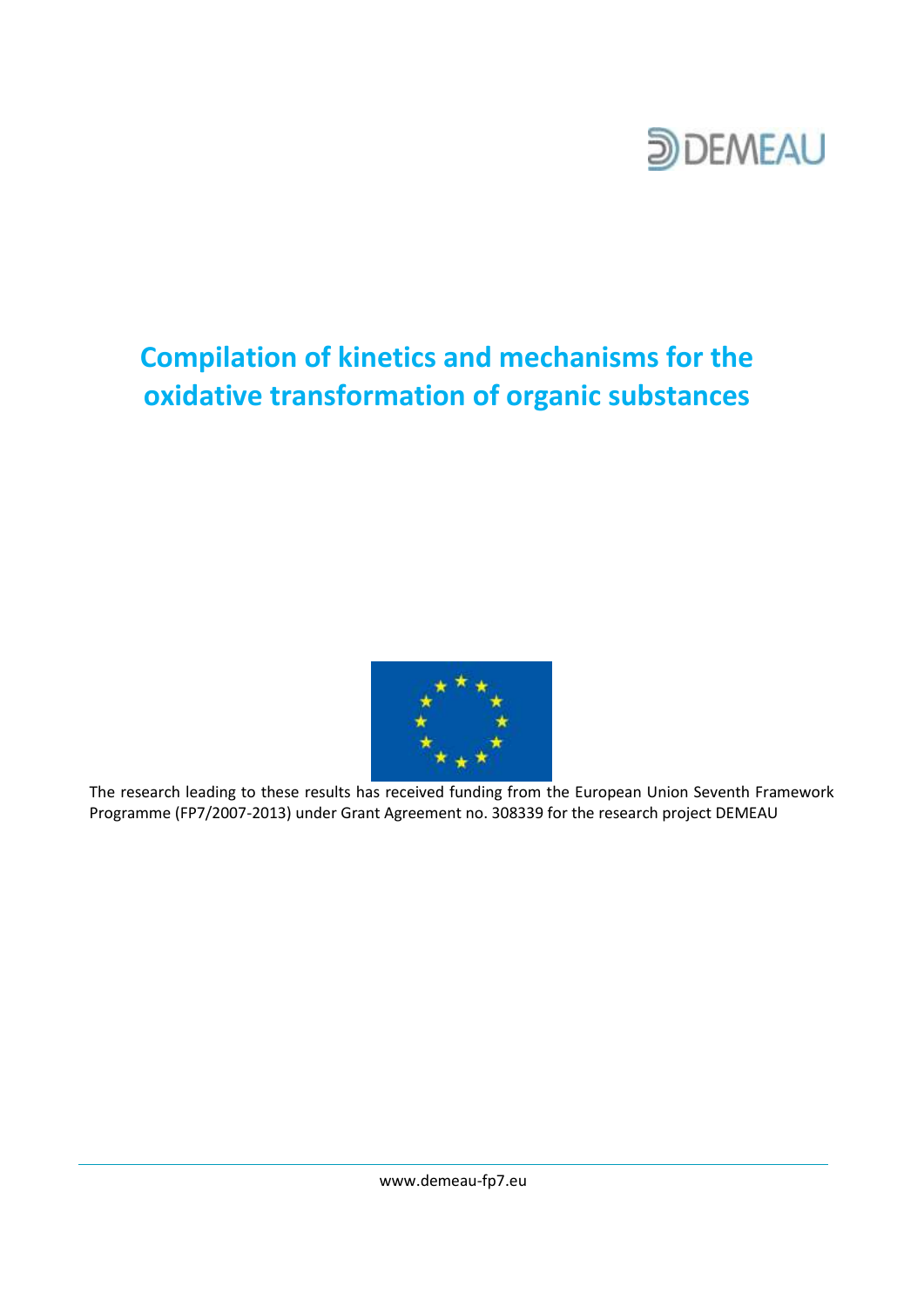

# **Compilation of kinetics and mechanisms for the oxidative transformation of organic substances**



The research leading to these results has received funding from the European Union Seventh Framework Programme (FP7/2007-2013) under Grant Agreement no. 308339 for the research project DEMEAU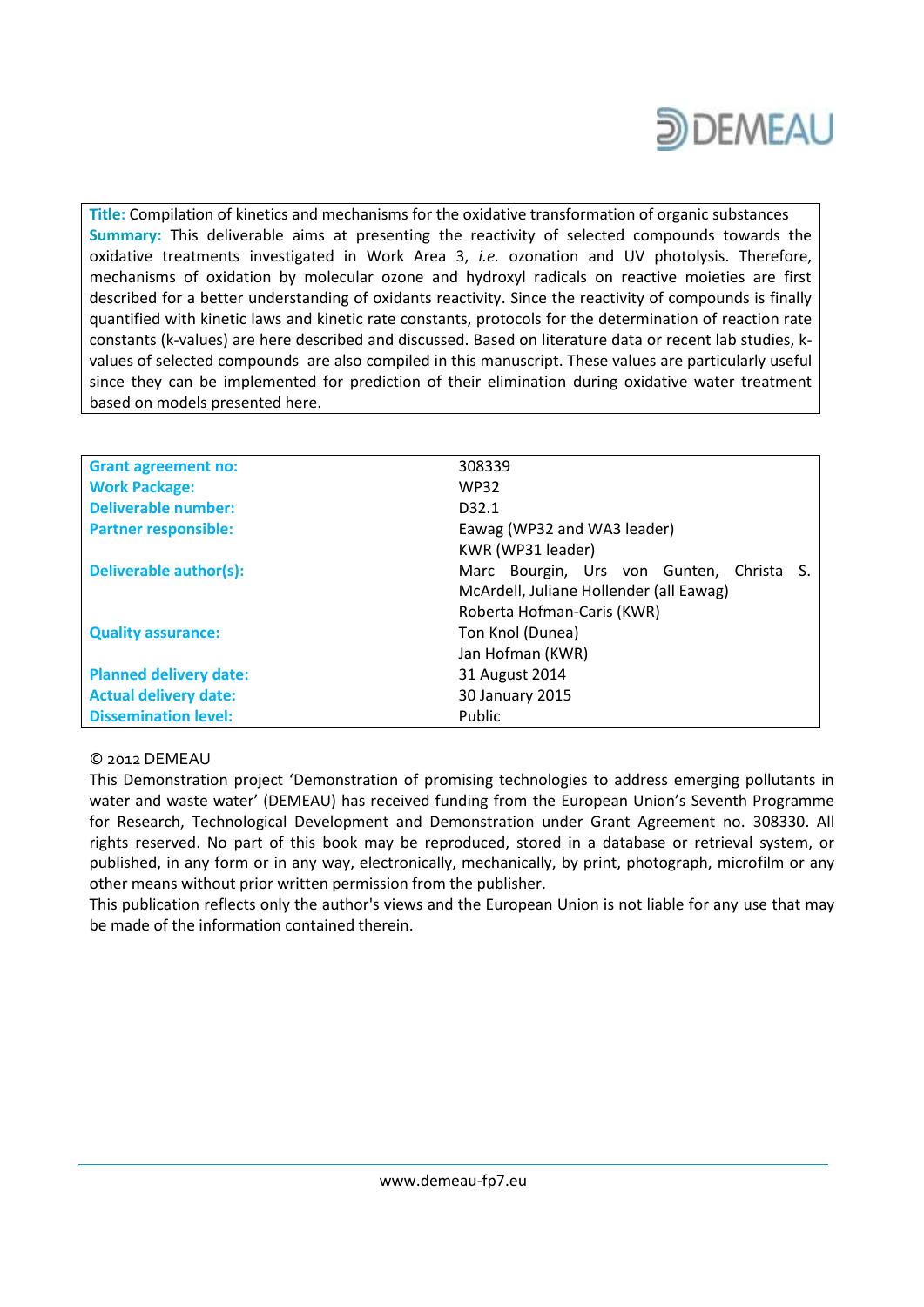

**Title:** Compilation of kinetics and mechanisms for the oxidative transformation of organic substances **Summary:** This deliverable aims at presenting the reactivity of selected compounds towards the oxidative treatments investigated in Work Area 3, *i.e.* ozonation and UV photolysis. Therefore, mechanisms of oxidation by molecular ozone and hydroxyl radicals on reactive moieties are first described for a better understanding of oxidants reactivity. Since the reactivity of compounds is finally quantified with kinetic laws and kinetic rate constants, protocols for the determination of reaction rate constants (k-values) are here described and discussed. Based on literature data or recent lab studies, kvalues of selected compounds are also compiled in this manuscript. These values are particularly useful since they can be implemented for prediction of their elimination during oxidative water treatment based on models presented here.

| <b>Grant agreement no:</b>    | 308339                                   |  |  |  |  |  |  |
|-------------------------------|------------------------------------------|--|--|--|--|--|--|
| <b>Work Package:</b>          | <b>WP32</b>                              |  |  |  |  |  |  |
| <b>Deliverable number:</b>    | D <sub>32.1</sub>                        |  |  |  |  |  |  |
| <b>Partner responsible:</b>   | Eawag (WP32 and WA3 leader)              |  |  |  |  |  |  |
|                               | KWR (WP31 leader)                        |  |  |  |  |  |  |
| Deliverable author(s):        | Marc Bourgin, Urs von Gunten, Christa S. |  |  |  |  |  |  |
|                               | McArdell, Juliane Hollender (all Eawag)  |  |  |  |  |  |  |
|                               | Roberta Hofman-Caris (KWR)               |  |  |  |  |  |  |
| <b>Quality assurance:</b>     | Ton Knol (Dunea)                         |  |  |  |  |  |  |
|                               | Jan Hofman (KWR)                         |  |  |  |  |  |  |
| <b>Planned delivery date:</b> | 31 August 2014                           |  |  |  |  |  |  |
| <b>Actual delivery date:</b>  | 30 January 2015                          |  |  |  |  |  |  |
| <b>Dissemination level:</b>   | <b>Public</b>                            |  |  |  |  |  |  |

#### © 2012 DEMEAU

This Demonstration project 'Demonstration of promising technologies to address emerging pollutants in water and waste water' (DEMEAU) has received funding from the European Union's Seventh Programme for Research, Technological Development and Demonstration under Grant Agreement no. 308330. All rights reserved. No part of this book may be reproduced, stored in a database or retrieval system, or published, in any form or in any way, electronically, mechanically, by print, photograph, microfilm or any other means without prior written permission from the publisher.

This publication reflects only the author's views and the European Union is not liable for any use that may be made of the information contained therein.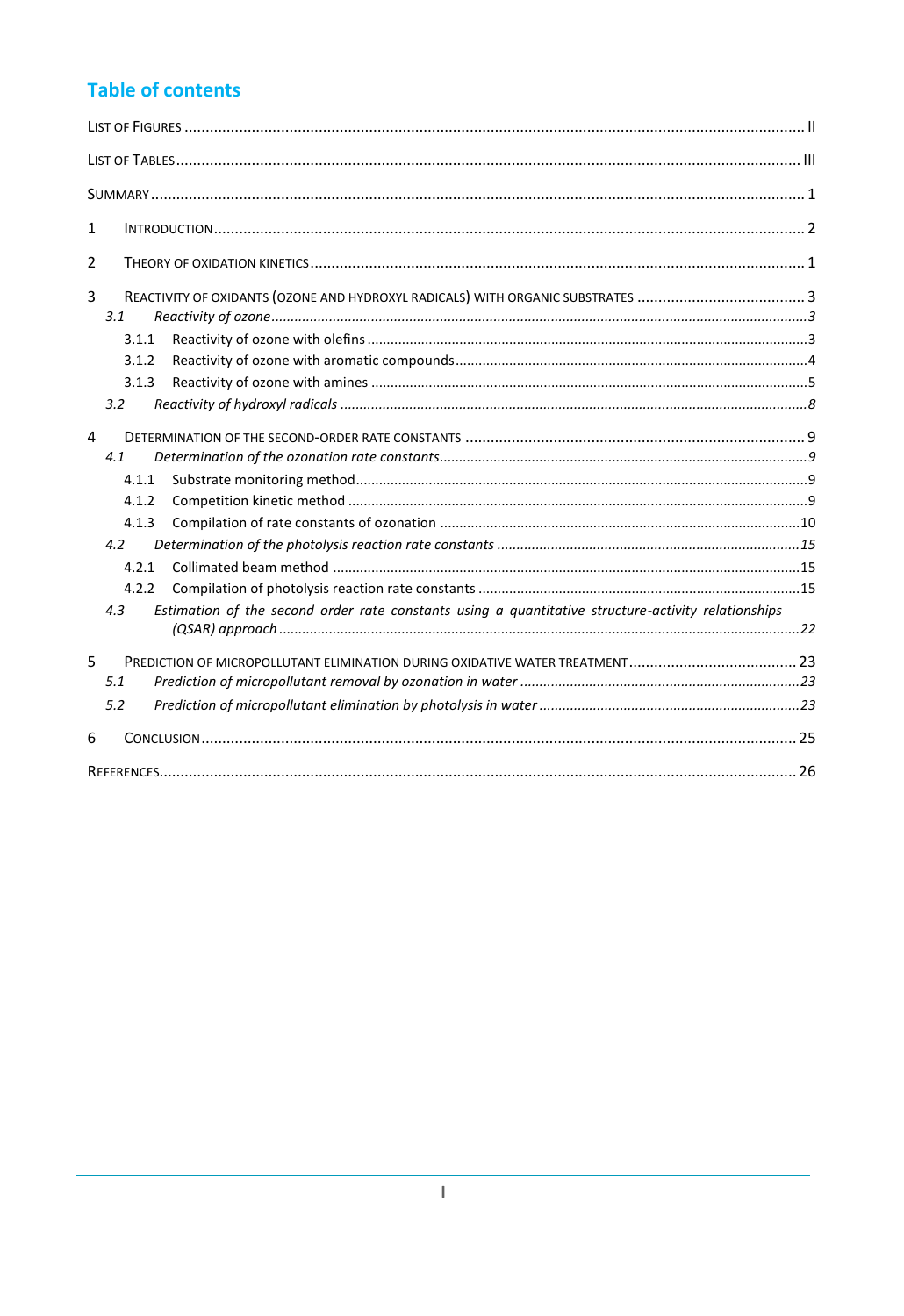## **Table of contents**

| 1                                                                                                          |  |
|------------------------------------------------------------------------------------------------------------|--|
| $\overline{2}$                                                                                             |  |
| 3<br>3.1<br>3.1.1                                                                                          |  |
| 3.1.2                                                                                                      |  |
| 3.1.3                                                                                                      |  |
| 3.2                                                                                                        |  |
| 4<br>4.1<br>4.1.1                                                                                          |  |
| 4.1.2                                                                                                      |  |
| 4.1.3                                                                                                      |  |
| 4.2                                                                                                        |  |
| 4.2.1                                                                                                      |  |
| 4.2.2                                                                                                      |  |
| Estimation of the second order rate constants using a quantitative structure-activity relationships<br>4.3 |  |
| 5                                                                                                          |  |
| 5.1                                                                                                        |  |
| 5.2                                                                                                        |  |
| 6                                                                                                          |  |
|                                                                                                            |  |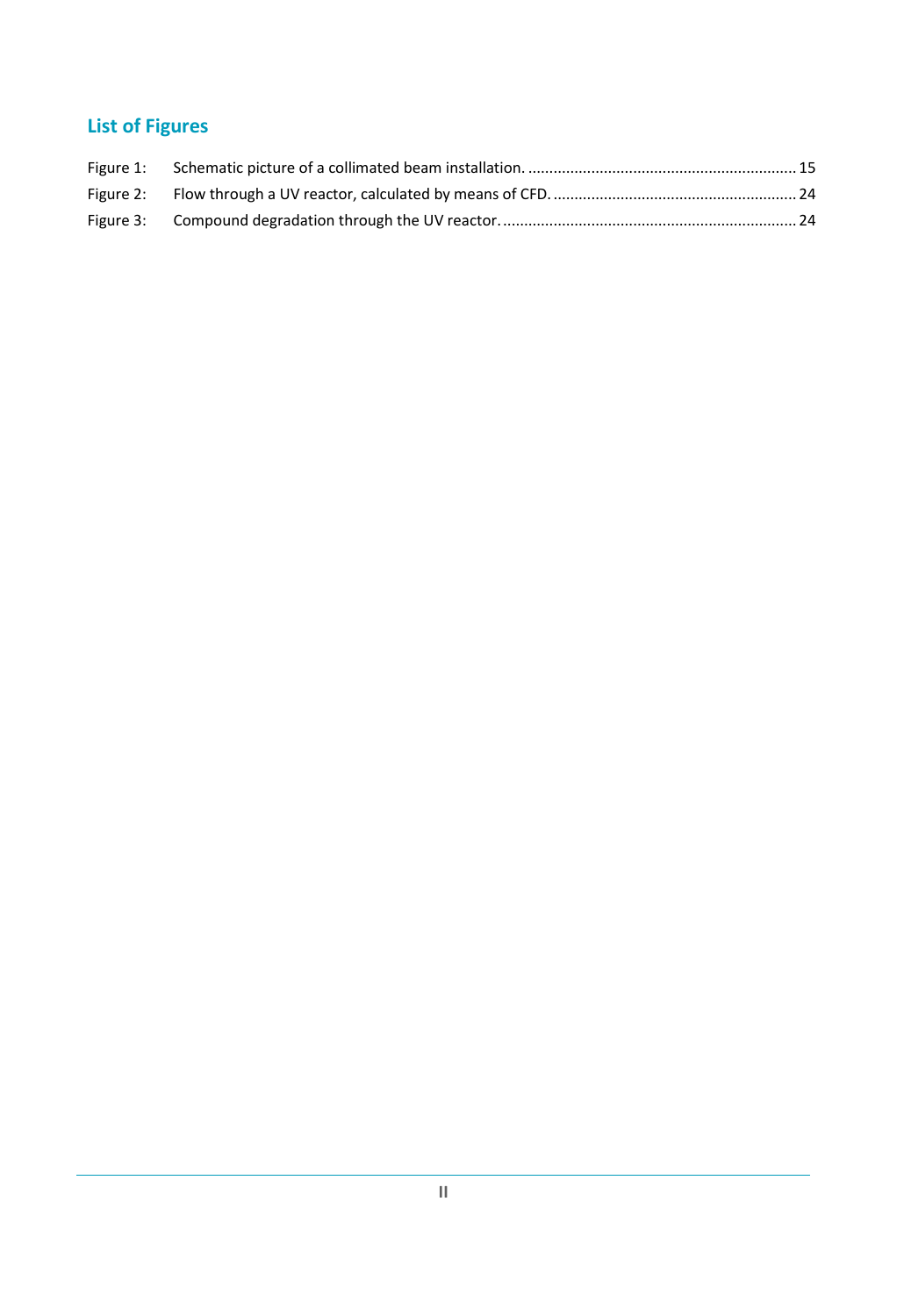## <span id="page-3-0"></span>**List of Figures**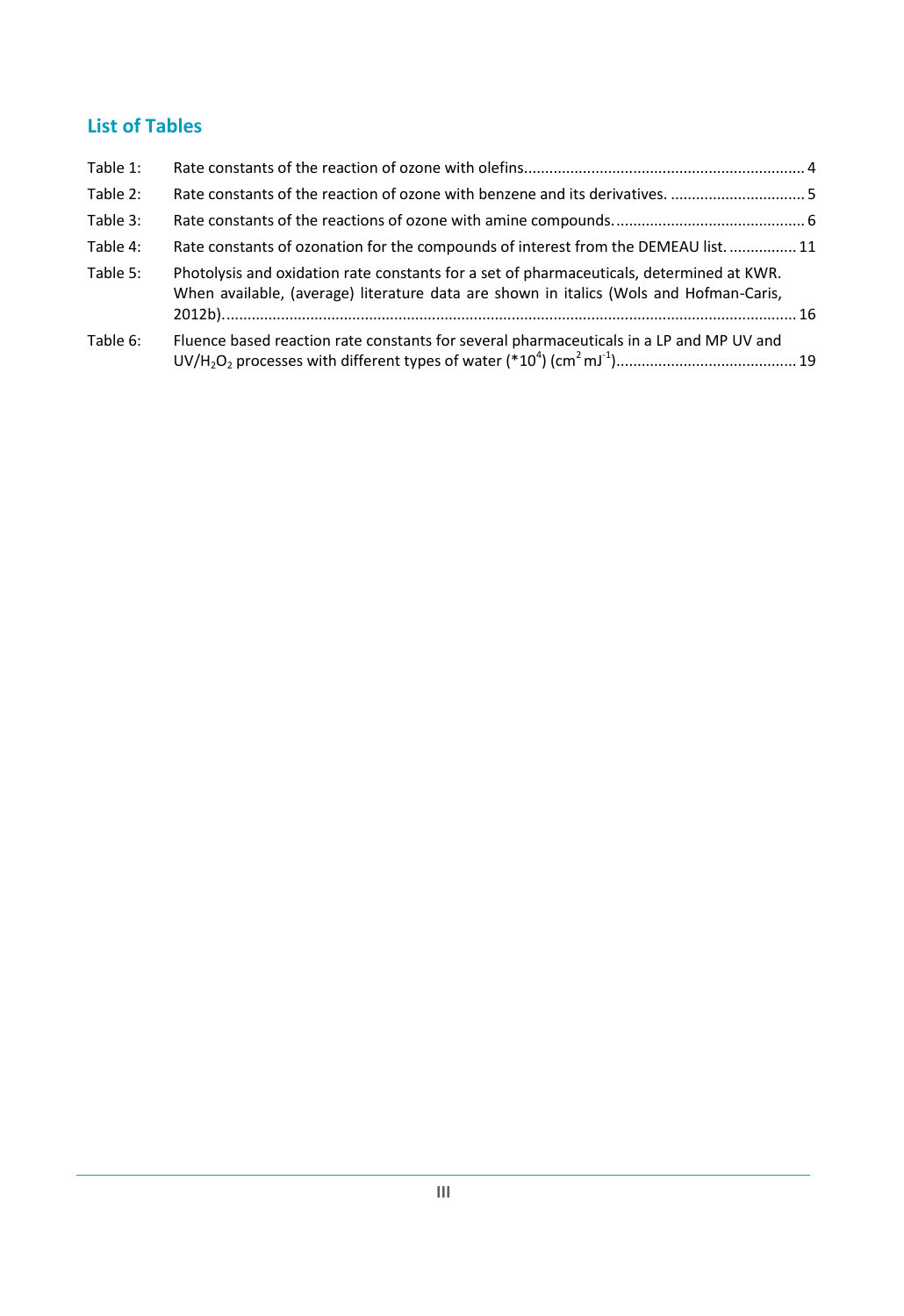## <span id="page-4-0"></span>**List of Tables**

| Table 1: |                                                                                                                                                                                    |  |
|----------|------------------------------------------------------------------------------------------------------------------------------------------------------------------------------------|--|
| Table 2: | Rate constants of the reaction of ozone with benzene and its derivatives. 5                                                                                                        |  |
| Table 3: |                                                                                                                                                                                    |  |
| Table 4: | Rate constants of ozonation for the compounds of interest from the DEMEAU list.  11                                                                                                |  |
| Table 5: | Photolysis and oxidation rate constants for a set of pharmaceuticals, determined at KWR.<br>When available, (average) literature data are shown in italics (Wols and Hofman-Caris, |  |
| Table 6: | Fluence based reaction rate constants for several pharmaceuticals in a LP and MP UV and                                                                                            |  |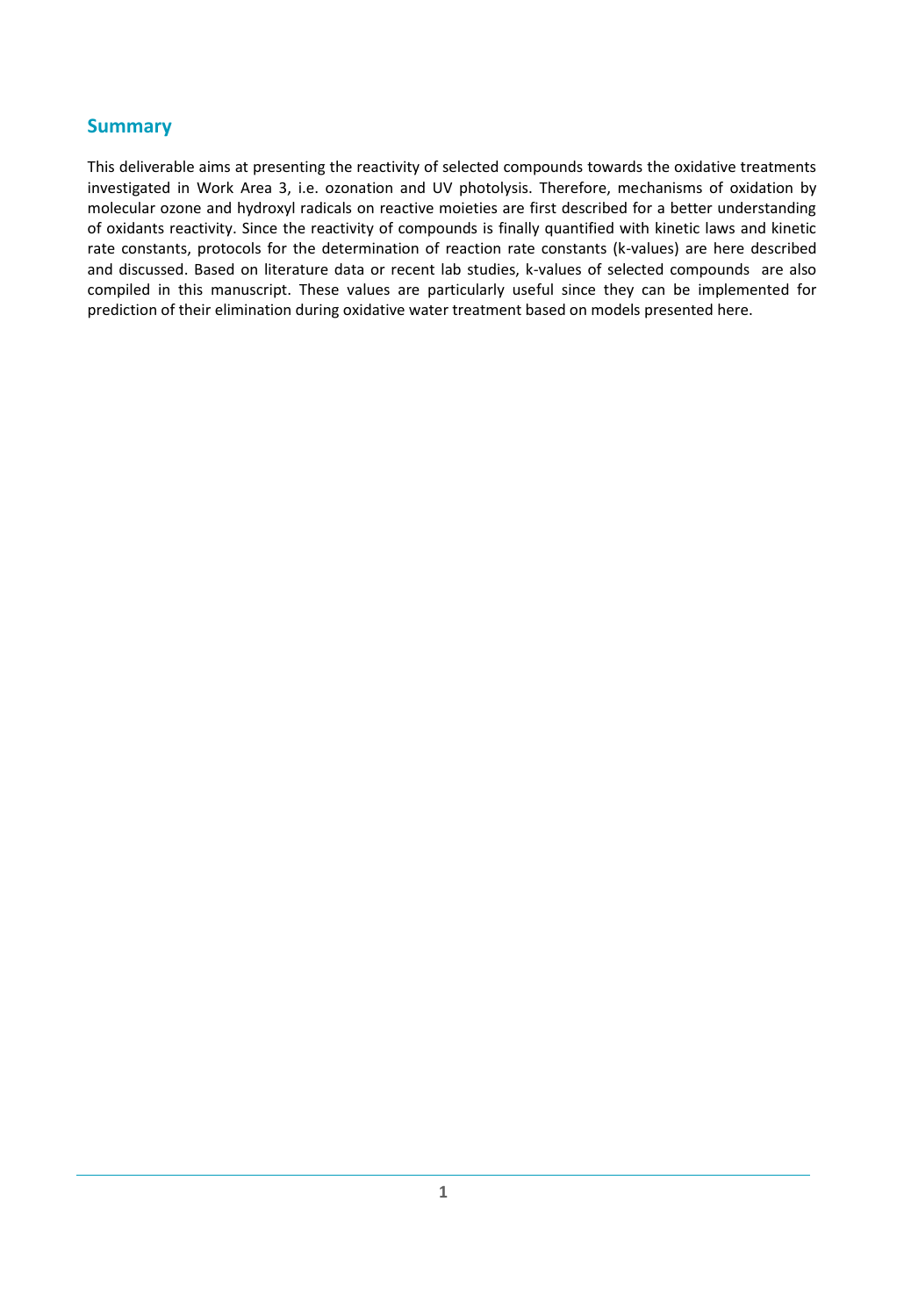## <span id="page-5-0"></span>**Summary**

This deliverable aims at presenting the reactivity of selected compounds towards the oxidative treatments investigated in Work Area 3, i.e. ozonation and UV photolysis. Therefore, mechanisms of oxidation by molecular ozone and hydroxyl radicals on reactive moieties are first described for a better understanding of oxidants reactivity. Since the reactivity of compounds is finally quantified with kinetic laws and kinetic rate constants, protocols for the determination of reaction rate constants (k-values) are here described and discussed. Based on literature data or recent lab studies, k-values of selected compounds are also compiled in this manuscript. These values are particularly useful since they can be implemented for prediction of their elimination during oxidative water treatment based on models presented here.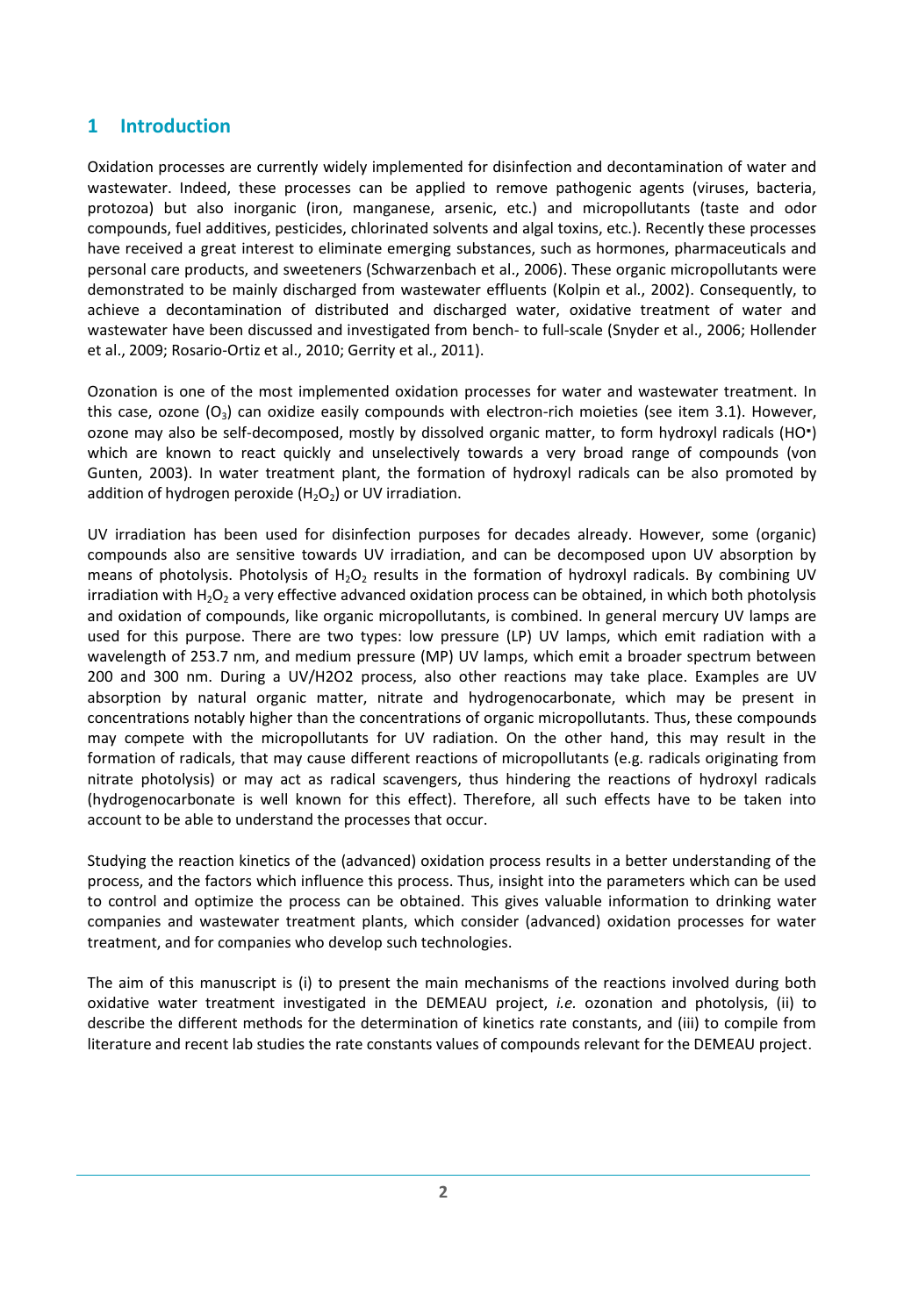## <span id="page-6-0"></span>**1 Introduction**

Oxidation processes are currently widely implemented for disinfection and decontamination of water and wastewater. Indeed, these processes can be applied to remove pathogenic agents (viruses, bacteria, protozoa) but also inorganic (iron, manganese, arsenic, etc.) and micropollutants (taste and odor compounds, fuel additives, pesticides, chlorinated solvents and algal toxins, etc.). Recently these processes have received a great interest to eliminate emerging substances, such as hormones, pharmaceuticals and personal care products, and sweeteners [\(Schwarzenbach et al., 2006\)](#page-33-0). These organic micropollutants were demonstrated to be mainly discharged from wastewater effluents [\(Kolpin et al., 2002\)](#page-33-1). Consequently, to achieve a decontamination of distributed and discharged water, oxidative treatment of water and wastewater have been discussed and investigated from bench- to full-scale [\(Snyder et al., 2006;](#page-34-0) [Hollender](#page-33-2)  [et al., 2009;](#page-33-2) [Rosario-Ortiz et al., 2010;](#page-33-3) [Gerrity et al., 2011\)](#page-32-1).

Ozonation is one of the most implemented oxidation processes for water and wastewater treatment. In this case, ozone  $(O_3)$  can oxidize easily compounds with electron-rich moieties (see item [3.1\)](#page-9-1). However, ozone may also be self-decomposed, mostly by dissolved organic matter, to form hydroxyl radicals (HO\*) which are known to react quickly and unselectively towards a very broad range of compounds [\(von](#page-34-1)  [Gunten, 2003\)](#page-34-1). In water treatment plant, the formation of hydroxyl radicals can be also promoted by addition of hydrogen peroxide  $(H_2O_2)$  or UV irradiation.

UV irradiation has been used for disinfection purposes for decades already. However, some (organic) compounds also are sensitive towards UV irradiation, and can be decomposed upon UV absorption by means of photolysis. Photolysis of  $H_2O_2$  results in the formation of hydroxyl radicals. By combining UV irradiation with H<sub>2</sub>O<sub>2</sub> a very effective advanced oxidation process can be obtained, in which both photolysis and oxidation of compounds, like organic micropollutants, is combined. In general mercury UV lamps are used for this purpose. There are two types: low pressure (LP) UV lamps, which emit radiation with a wavelength of 253.7 nm, and medium pressure (MP) UV lamps, which emit a broader spectrum between 200 and 300 nm. During a UV/H2O2 process, also other reactions may take place. Examples are UV absorption by natural organic matter, nitrate and hydrogenocarbonate, which may be present in concentrations notably higher than the concentrations of organic micropollutants. Thus, these compounds may compete with the micropollutants for UV radiation. On the other hand, this may result in the formation of radicals, that may cause different reactions of micropollutants (e.g. radicals originating from nitrate photolysis) or may act as radical scavengers, thus hindering the reactions of hydroxyl radicals (hydrogenocarbonate is well known for this effect). Therefore, all such effects have to be taken into account to be able to understand the processes that occur.

Studying the reaction kinetics of the (advanced) oxidation process results in a better understanding of the process, and the factors which influence this process. Thus, insight into the parameters which can be used to control and optimize the process can be obtained. This gives valuable information to drinking water companies and wastewater treatment plants, which consider (advanced) oxidation processes for water treatment, and for companies who develop such technologies.

The aim of this manuscript is (i) to present the main mechanisms of the reactions involved during both oxidative water treatment investigated in the DEMEAU project, *i.e.* ozonation and photolysis, (ii) to describe the different methods for the determination of kinetics rate constants, and (iii) to compile from literature and recent lab studies the rate constants values of compounds relevant for the DEMEAU project.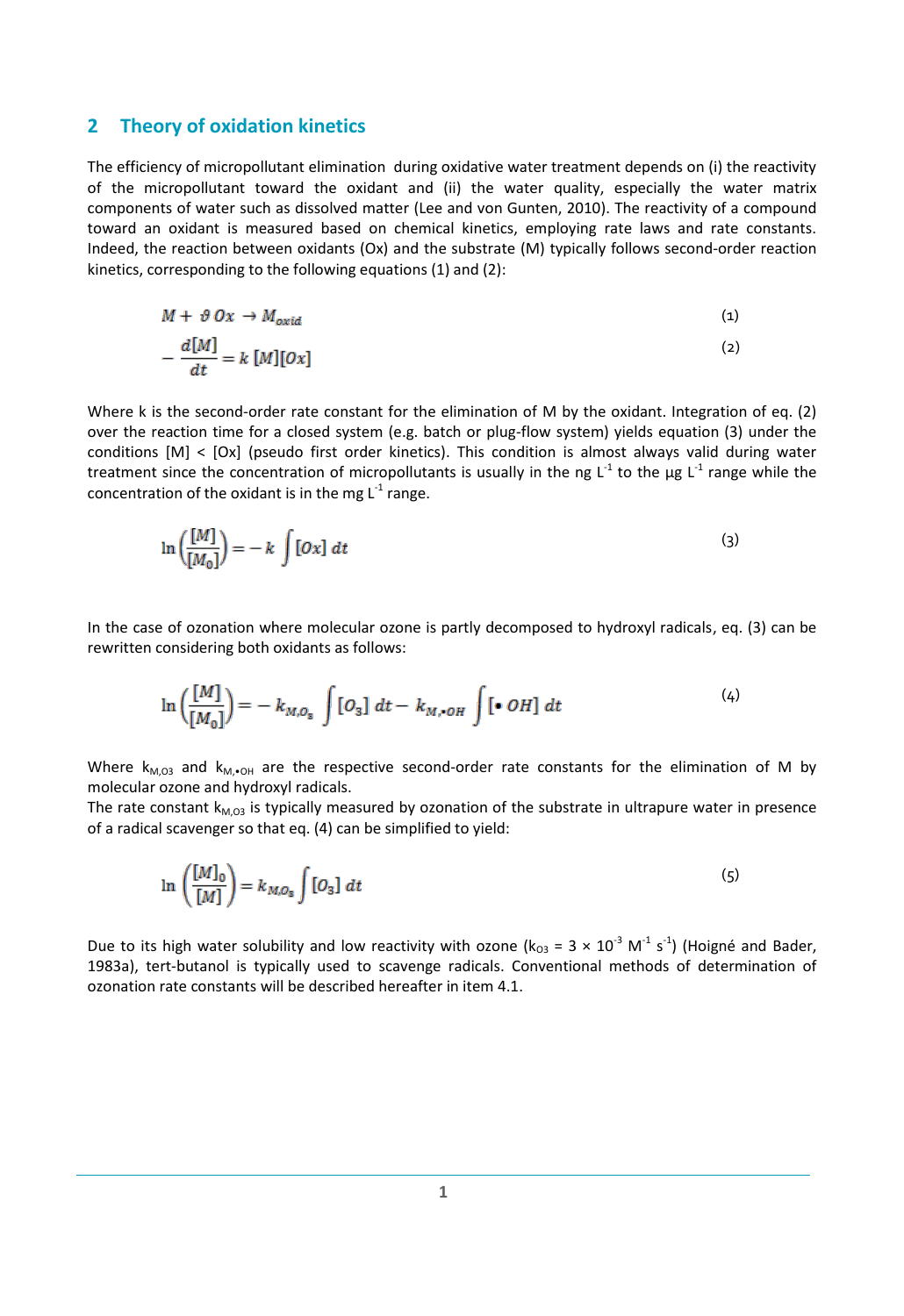#### <span id="page-7-0"></span>**2 Theory of oxidation kinetics**

The efficiency of micropollutant elimination during oxidative water treatment depends on (i) the reactivity of the micropollutant toward the oxidant and (ii) the water quality, especially the water matrix components of water such as dissolved matter [\(Lee and von Gunten, 2010\)](#page-33-4). The reactivity of a compound toward an oxidant is measured based on chemical kinetics, employing rate laws and rate constants. Indeed, the reaction between oxidants (Ox) and the substrate (M) typically follows second-order reaction kinetics, corresponding to the following equations (1) and (2):

$$
M + \vartheta \, Ox \to M_{oxid} \tag{1}
$$

$$
-\frac{d[M]}{dt} = k[M][0x] \tag{2}
$$

Where k is the second-order rate constant for the elimination of M by the oxidant. Integration of eq. (2) over the reaction time for a closed system (e.g. batch or plug-flow system) yields equation (3) under the conditions [M] < [Ox] (pseudo first order kinetics). This condition is almost always valid during water treatment since the concentration of micropollutants is usually in the ng L<sup>-1</sup> to the µg L<sup>-1</sup> range while the concentration of the oxidant is in the mg  $\mathsf{L}^{\text{-1}}$  range.

$$
\ln\left(\frac{[M]}{[M_0]}\right) = -k \int [Ox] dt \tag{3}
$$

In the case of ozonation where molecular ozone is partly decomposed to hydroxyl radicals, eq. (3) can be rewritten considering both oxidants as follows:

$$
\ln\left(\frac{[M]}{[M_0]}\right) = -k_{M,O_{\rm s}} \int [O_{\rm s}] \, dt - k_{M,\bullet OH} \int [\bullet \, OH] \, dt \tag{4}
$$

Where  $k_{M,03}$  and  $k_{M,\bullet 0H}$  are the respective second-order rate constants for the elimination of M by molecular ozone and hydroxyl radicals.

The rate constant  $k_{M,03}$  is typically measured by ozonation of the substrate in ultrapure water in presence of a radical scavenger so that eq. (4) can be simplified to yield:

$$
\ln\left(\frac{[M]_0}{[M]}\right) = k_{M,O_{\rm s}} \int [O_3] \ dt \tag{5}
$$

Due to its high water solubility and low reactivity with ozone ( $k_{03}$  = 3  $\times$  10<sup>-3</sup> M<sup>-1</sup> s<sup>-1</sup>) (Hoigné and Bader, [1983a\)](#page-32-2), tert-butanol is typically used to scavenge radicals. Conventional methods of determination of ozonation rate constants will be described hereafter in ite[m 4.1.](#page-15-1)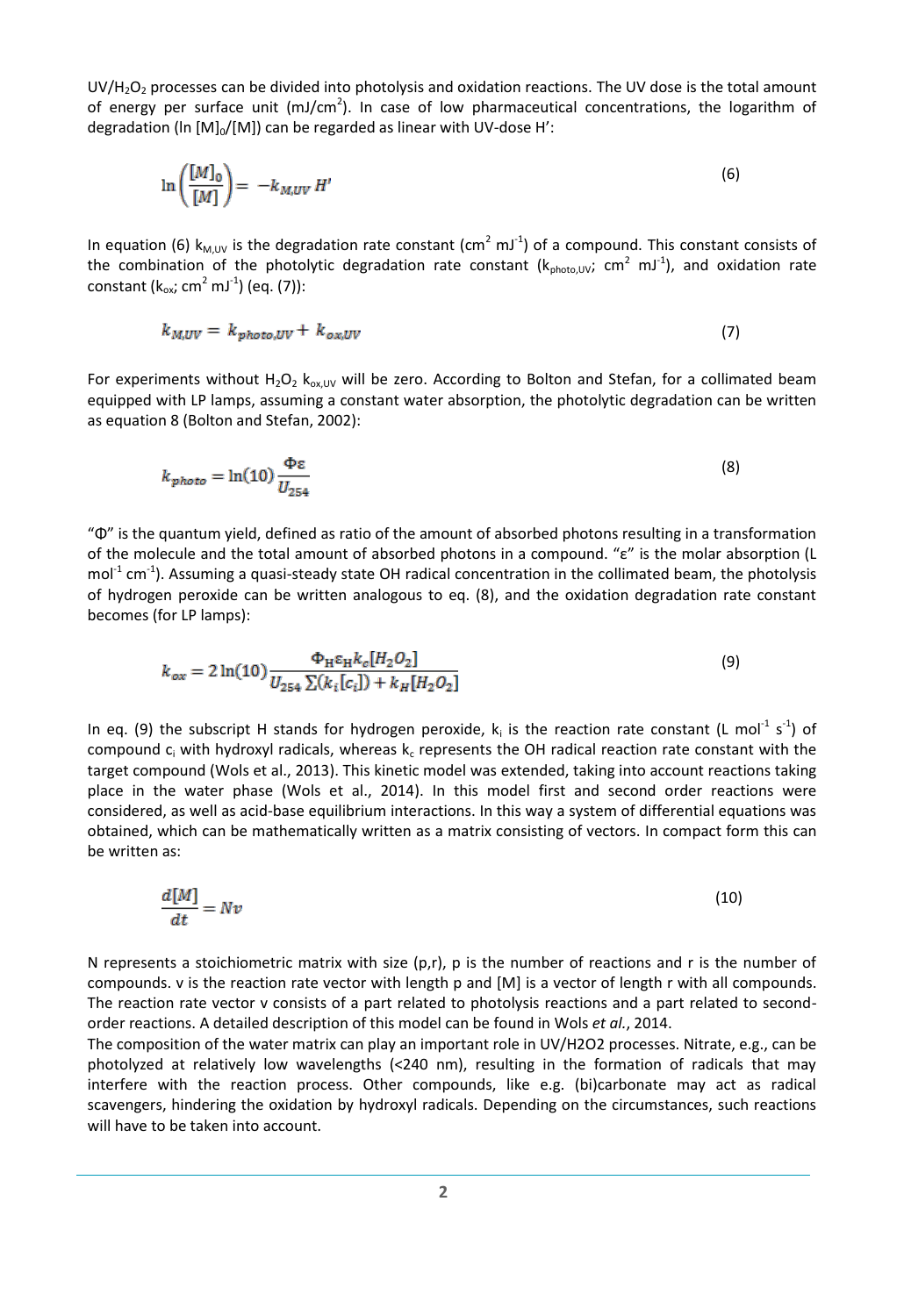UV/H<sub>2</sub>O<sub>2</sub> processes can be divided into photolysis and oxidation reactions. The UV dose is the total amount of energy per surface unit (mJ/cm<sup>2</sup>). In case of low pharmaceutical concentrations, the logarithm of degradation (In  $[M]_0/[M]$ ) can be regarded as linear with UV-dose H':

$$
\ln\left(\frac{[M]_0}{[M]}\right) = -k_{M,UV} H'
$$
\n(6)

In equation (6)  $k_{M,UV}$  is the degradation rate constant (cm<sup>2</sup> mJ<sup>-1</sup>) of a compound. This constant consists of the combination of the photolytic degradation rate constant ( $k_{photo,UV}$ ; cm<sup>2</sup> mJ<sup>-1</sup>), and oxidation rate constant (k<sub>ox</sub>; cm<sup>2</sup> mJ<sup>-1</sup>) (eq. (7)):

$$
k_{M,UV} = k_{photo,UV} + k_{ox,UV} \tag{7}
$$

For experiments without H<sub>2</sub>O<sub>2</sub> k<sub>ox, UV</sub> will be zero. According to Bolton and Stefan, for a collimated beam equipped with LP lamps, assuming a constant water absorption, the photolytic degradation can be written as equation 8 [\(Bolton and Stefan, 2002\)](#page-32-3):

$$
k_{photo} = \ln(10) \frac{\Phi \varepsilon}{U_{254}}
$$
 (8)

"Φ" is the quantum yield, defined as ratio of the amount of absorbed photons resulting in a transformation of the molecule and the total amount of absorbed photons in a compound. "ε" is the molar absorption (L mol<sup>-1</sup> cm<sup>-1</sup>). Assuming a quasi-steady state OH radical concentration in the collimated beam, the photolysis of hydrogen peroxide can be written analogous to eq. (8), and the oxidation degradation rate constant becomes (for LP lamps):

$$
k_{ox} = 2 \ln(10) \frac{\Phi_{\rm H} \varepsilon_{\rm H} k_c [H_2 O_2]}{U_{254} \sum (k_i [c_i]) + k_H [H_2 O_2]}
$$
(9)

In eq. (9) the subscript H stands for hydrogen peroxide,  $k_i$  is the reaction rate constant (L mol<sup>-1</sup> s<sup>-1</sup>) of compound  $c_i$  with hydroxyl radicals, whereas  $k_c$  represents the OH radical reaction rate constant with the target compound [\(Wols et al., 2013\)](#page-34-2). This kinetic model was extended, taking into account reactions taking place in the water phase [\(Wols et al., 2014\)](#page-34-3). In this model first and second order reactions were considered, as well as acid-base equilibrium interactions. In this way a system of differential equations was obtained, which can be mathematically written as a matrix consisting of vectors. In compact form this can be written as:

$$
\frac{d[M]}{dt} = Nv \tag{10}
$$

N represents a stoichiometric matrix with size  $(p,r)$ , p is the number of reactions and r is the number of compounds. v is the reaction rate vector with length p and [M] is a vector of length r with all compounds. The reaction rate vector v consists of a part related to photolysis reactions and a part related to secondorder reactions. A detailed description of this model can be found in Wols *et al.*, 2014.

The composition of the water matrix can play an important role in UV/H2O2 processes. Nitrate, e.g., can be photolyzed at relatively low wavelengths (<240 nm), resulting in the formation of radicals that may interfere with the reaction process. Other compounds, like e.g. (bi)carbonate may act as radical scavengers, hindering the oxidation by hydroxyl radicals. Depending on the circumstances, such reactions will have to be taken into account.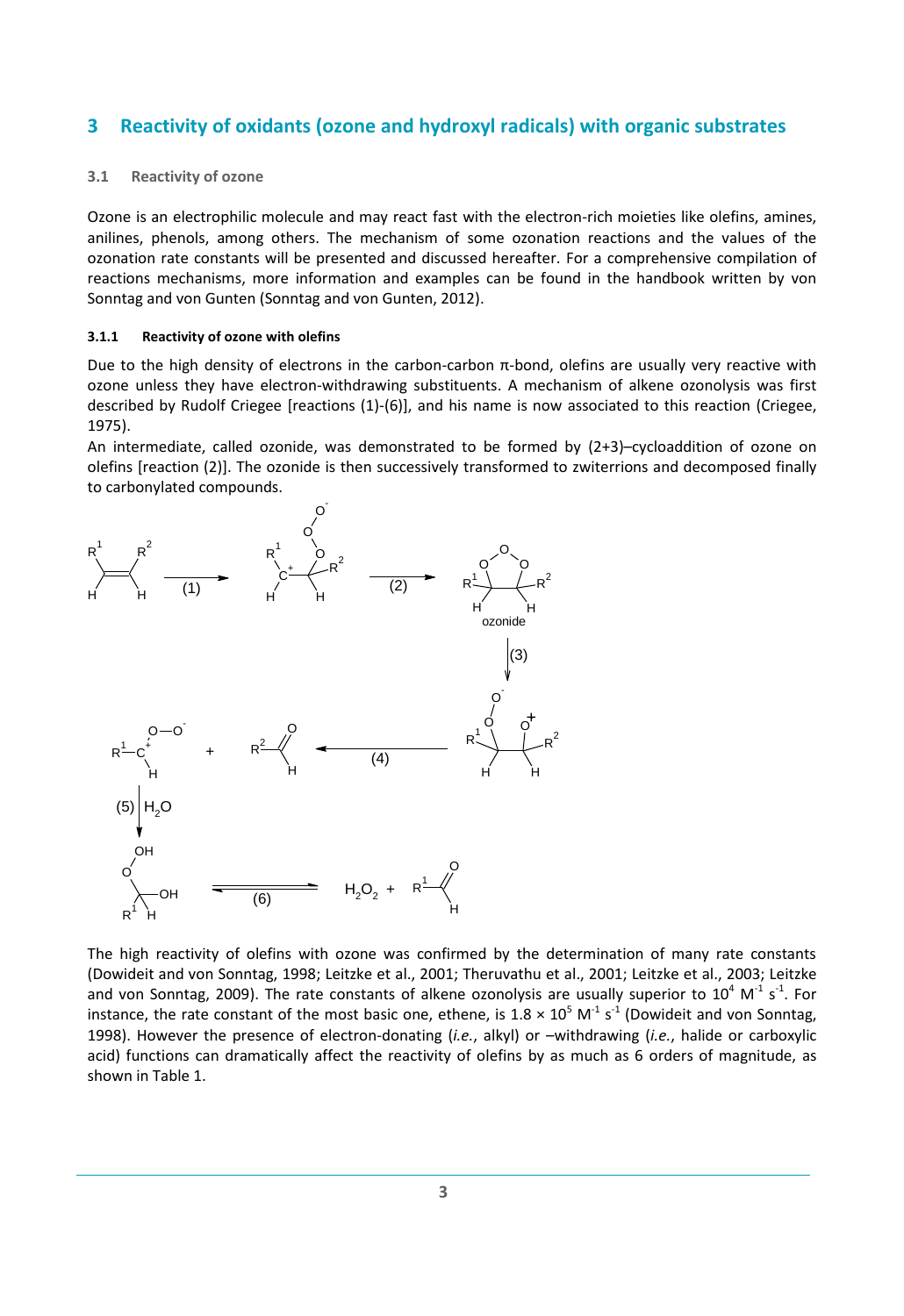## <span id="page-9-0"></span>**3 Reactivity of oxidants (ozone and hydroxyl radicals) with organic substrates**

#### <span id="page-9-1"></span>**3.1 Reactivity of ozone**

Ozone is an electrophilic molecule and may react fast with the electron-rich moieties like olefins, amines, anilines, phenols, among others. The mechanism of some ozonation reactions and the values of the ozonation rate constants will be presented and discussed hereafter. For a comprehensive compilation of reactions mechanisms, more information and examples can be found in the handbook written by von Sonntag and von Gunten [\(Sonntag and von Gunten, 2012\)](#page-34-4).

#### <span id="page-9-2"></span>**3.1.1 Reactivity of ozone with olefins**

Due to the high density of electrons in the carbon-carbon  $π$ -bond, olefins are usually very reactive with ozone unless they have electron-withdrawing substituents. A mechanism of alkene ozonolysis was first described by Rudolf Criegee [reactions (1)-(6)], and his name is now associated to this reaction [\(Criegee,](#page-32-4)  [1975\)](#page-32-4).

An intermediate, called ozonide, was demonstrated to be formed by (2+3)–cycloaddition of ozone on olefins [reaction (2)]. The ozonide is then successively transformed to zwiterrions and decomposed finally to carbonylated compounds.



The high reactivity of olefins with ozone was confirmed by the determination of many rate constants [\(Dowideit and von Sonntag, 1998;](#page-32-5) [Leitzke et al., 2001;](#page-33-5) [Theruvathu et al., 2001;](#page-34-5) [Leitzke et al., 2003;](#page-33-6) [Leitzke](#page-33-7)  [and von Sonntag, 2009\)](#page-33-7). The rate constants of alkene ozonolysis are usually superior to  $10^4$  M<sup>-1</sup> s<sup>-1</sup>. For instance, the rate constant of the most basic one, ethene, is 1.8  $\times$  10<sup>5</sup> M<sup>-1</sup> s<sup>-1</sup> (Dowideit and von Sonntag, [1998\)](#page-32-5). However the presence of electron-donating (*i.e.*, alkyl) or –withdrawing (*i.e.*, halide or carboxylic acid) functions can dramatically affect the reactivity of olefins by as much as 6 orders of magnitude, as shown i[n Table 1.](#page-10-1)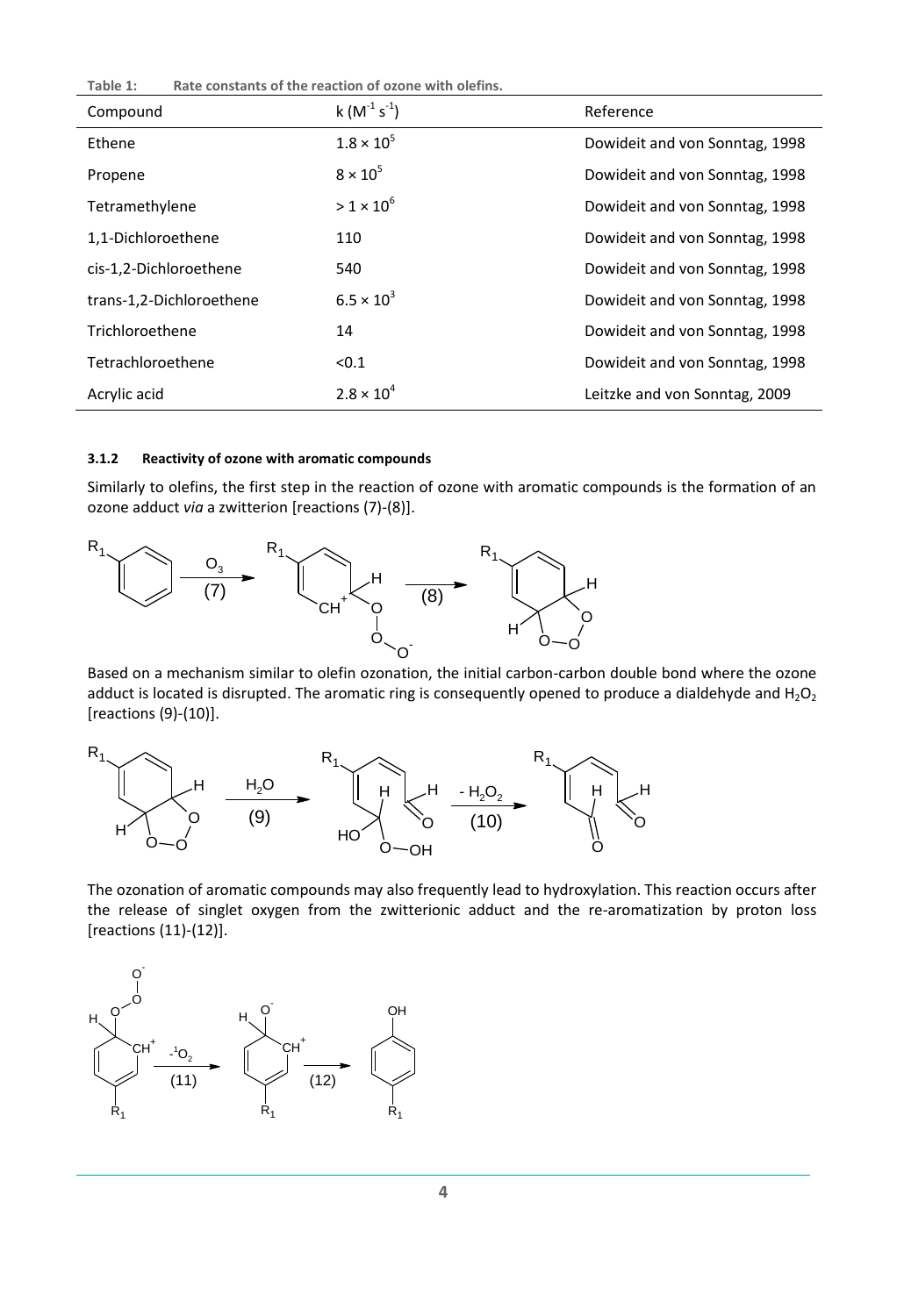<span id="page-10-1"></span>**Table 1: Rate constants of the reaction of ozone with olefins.**

| Compound                 | $k(M^{-1} s^{-1})$  | Reference                      |
|--------------------------|---------------------|--------------------------------|
| Ethene                   | $1.8 \times 10^{5}$ | Dowideit and von Sonntag, 1998 |
| Propene                  | $8 \times 10^5$     | Dowideit and von Sonntag, 1998 |
| Tetramethylene           | $>1\times10^6$      | Dowideit and von Sonntag, 1998 |
| 1,1-Dichloroethene       | 110                 | Dowideit and von Sonntag, 1998 |
| cis-1,2-Dichloroethene   | 540                 | Dowideit and von Sonntag, 1998 |
| trans-1,2-Dichloroethene | $6.5 \times 10^{3}$ | Dowideit and von Sonntag, 1998 |
| Trichloroethene          | 14                  | Dowideit and von Sonntag, 1998 |
| Tetrachloroethene        | < 0.1               | Dowideit and von Sonntag, 1998 |
| Acrylic acid             | $2.8 \times 10^{4}$ | Leitzke and von Sonntag, 2009  |

#### <span id="page-10-0"></span>**3.1.2 Reactivity of ozone with aromatic compounds**

Similarly to olefins, the first step in the reaction of ozone with aromatic compounds is the formation of an ozone adduct *via* a zwitterion [reactions (7)-(8)].



Based on a mechanism similar to olefin ozonation, the initial carbon-carbon double bond where the ozone adduct is located is disrupted. The aromatic ring is consequently opened to produce a dialdehyde and  $H_2O_2$ [reactions (9)-(10)].



The ozonation of aromatic compounds may also frequently lead to hydroxylation. This reaction occurs after the release of singlet oxygen from the zwitterionic adduct and the re-aromatization by proton loss [reactions (11)-(12)].

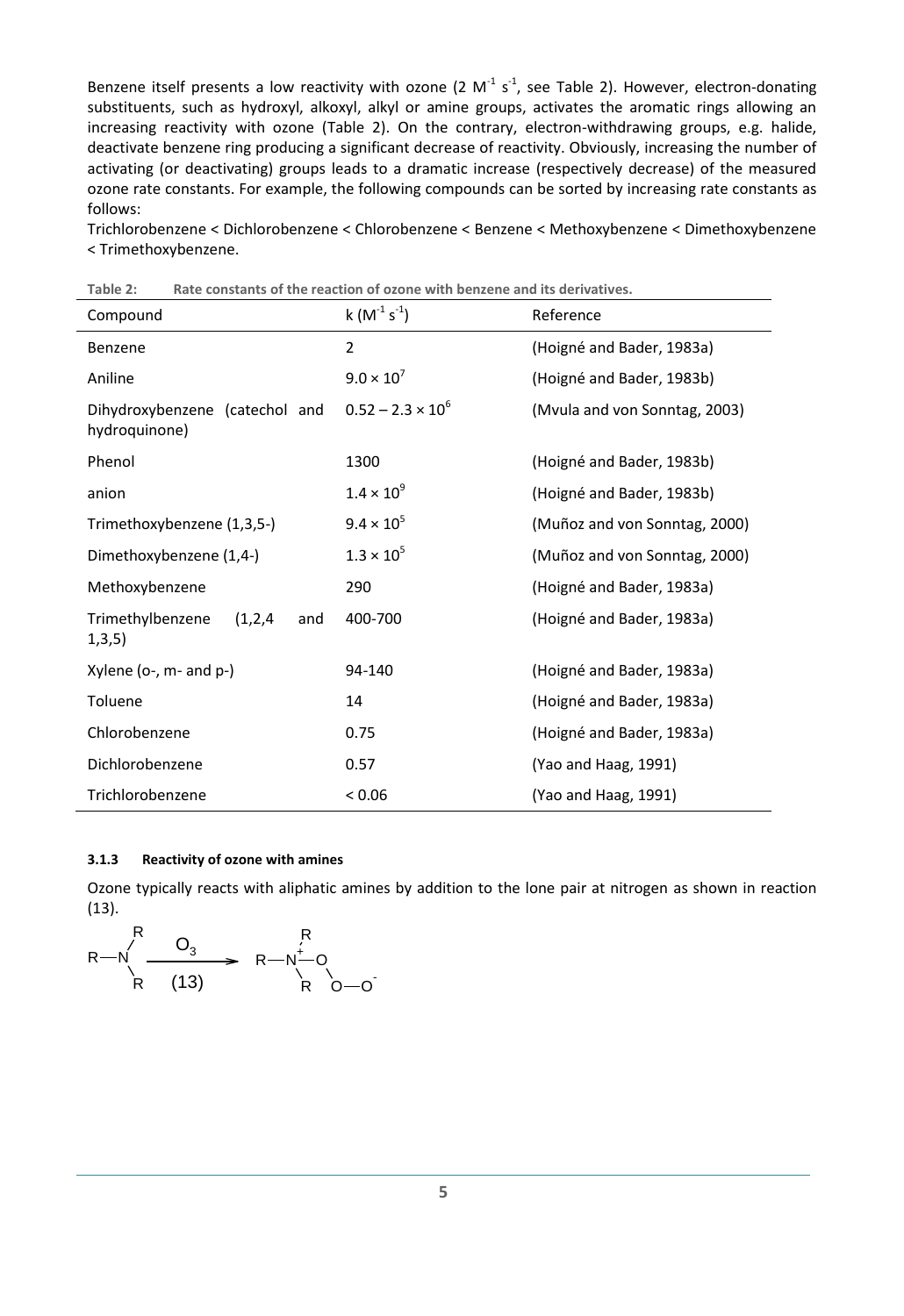Benzene itself presents a low reactivity with ozone (2  $M^{-1}$  s<sup>-1</sup>, see [Table 2\)](#page-11-1). However, electron-donating substituents, such as hydroxyl, alkoxyl, alkyl or amine groups, activates the aromatic rings allowing an increasing reactivity with ozone [\(Table 2\)](#page-11-1). On the contrary, electron-withdrawing groups, e.g. halide, deactivate benzene ring producing a significant decrease of reactivity. Obviously, increasing the number of activating (or deactivating) groups leads to a dramatic increase (respectively decrease) of the measured ozone rate constants. For example, the following compounds can be sorted by increasing rate constants as follows:

Trichlorobenzene < Dichlorobenzene < Chlorobenzene < Benzene < Methoxybenzene < Dimethoxybenzene < Trimethoxybenzene.

| Compound                                        | $k(M^{-1} s^{-1})$       | Reference                     |
|-------------------------------------------------|--------------------------|-------------------------------|
| Benzene                                         | $\overline{2}$           | (Hoigné and Bader, 1983a)     |
| Aniline                                         | $9.0 \times 10^{7}$      | (Hoigné and Bader, 1983b)     |
| Dihydroxybenzene (catechol and<br>hydroquinone) | $0.52 - 2.3 \times 10^6$ | (Mvula and von Sonntag, 2003) |
| Phenol                                          | 1300                     | (Hoigné and Bader, 1983b)     |
| anion                                           | $1.4 \times 10^{9}$      | (Hoigné and Bader, 1983b)     |
| Trimethoxybenzene (1,3,5-)                      | $9.4 \times 10^{5}$      | (Muñoz and von Sonntag, 2000) |
| Dimethoxybenzene (1,4-)                         | $1.3 \times 10^{5}$      | (Muñoz and von Sonntag, 2000) |
| Methoxybenzene                                  | 290                      | (Hoigné and Bader, 1983a)     |
| Trimethylbenzene<br>(1,2,4)<br>and<br>1,3,5)    | 400-700                  | (Hoigné and Bader, 1983a)     |
| Xylene (o-, m- and p-)                          | 94-140                   | (Hoigné and Bader, 1983a)     |
| Toluene                                         | 14                       | (Hoigné and Bader, 1983a)     |
| Chlorobenzene                                   | 0.75                     | (Hoigné and Bader, 1983a)     |
| Dichlorobenzene                                 | 0.57                     | (Yao and Haag, 1991)          |
| Trichlorobenzene                                | < 0.06                   | (Yao and Haag, 1991)          |

<span id="page-11-1"></span>**Table 2: Rate constants of the reaction of ozone with benzene and its derivatives.**

#### <span id="page-11-0"></span>**3.1.3 Reactivity of ozone with amines**

Ozone typically reacts with aliphatic amines by addition to the lone pair at nitrogen as shown in reaction (13).

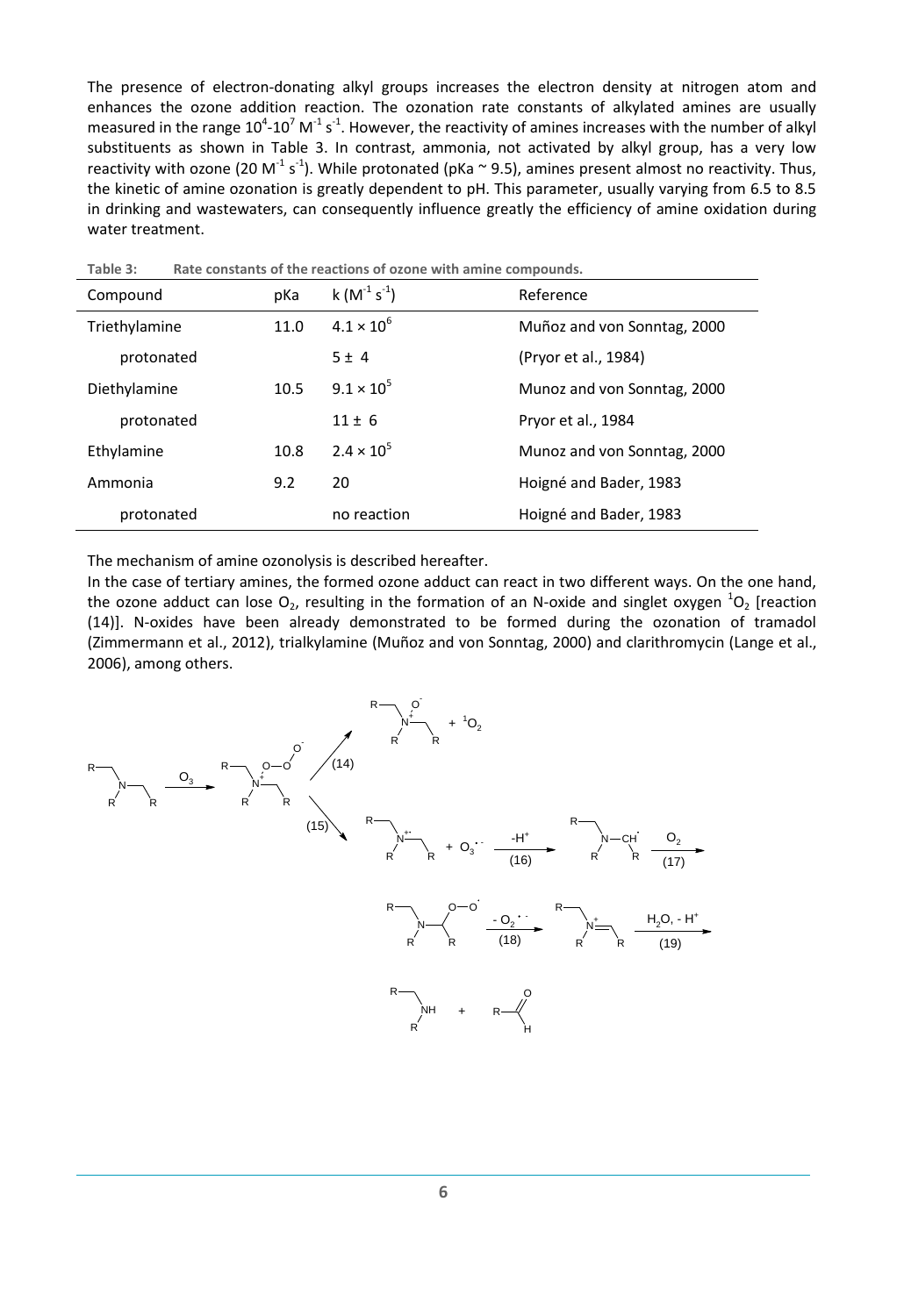The presence of electron-donating alkyl groups increases the electron density at nitrogen atom and enhances the ozone addition reaction. The ozonation rate constants of alkylated amines are usually measured in the range 10<sup>4</sup>-10<sup>7</sup> M<sup>-1</sup> s<sup>-1</sup>. However, the reactivity of amines increases with the number of alkyl substituents as shown in [Table 3.](#page-12-0) In contrast, ammonia, not activated by alkyl group, has a very low reactivity with ozone (20 M<sup>-1</sup> s<sup>-1</sup>). While protonated (pKa  $\sim$  9.5), amines present almost no reactivity. Thus, the kinetic of amine ozonation is greatly dependent to pH. This parameter, usually varying from 6.5 to 8.5 in drinking and wastewaters, can consequently influence greatly the efficiency of amine oxidation during water treatment.

| iauic J.<br><u>Nate constants of the reactions of ozone with annie compounds.</u> |      |                     |                             |  |  |  |
|-----------------------------------------------------------------------------------|------|---------------------|-----------------------------|--|--|--|
| Compound                                                                          | pKa  | $k(M^{-1} s^{-1})$  | Reference                   |  |  |  |
| Triethylamine                                                                     | 11.0 | $4.1 \times 10^{6}$ | Muñoz and von Sonntag, 2000 |  |  |  |
| protonated                                                                        |      | $5 \pm 4$           | (Pryor et al., 1984)        |  |  |  |
| Diethylamine                                                                      | 10.5 | $9.1 \times 10^{5}$ | Munoz and von Sonntag, 2000 |  |  |  |
| protonated                                                                        |      | $11 \pm 6$          | Pryor et al., 1984          |  |  |  |
| Ethylamine                                                                        | 10.8 | $2.4 \times 10^{5}$ | Munoz and von Sonntag, 2000 |  |  |  |
| Ammonia                                                                           | 9.2  | 20                  | Hoigné and Bader, 1983      |  |  |  |
| protonated                                                                        |      | no reaction         | Hoigné and Bader, 1983      |  |  |  |

<span id="page-12-0"></span>**Table 3: Rate constants of the reactions of ozone with amine compounds.**

The mechanism of amine ozonolysis is described hereafter.

In the case of tertiary amines, the formed ozone adduct can react in two different ways. On the one hand, the ozone adduct can lose  $O_2$ , resulting in the formation of an N-oxide and singlet oxygen  ${}^{1}O_2$  [reaction (14)]. N-oxides have been already demonstrated to be formed during the ozonation of tramadol [\(Zimmermann et al., 2012\)](#page-34-7), trialkylamine [\(Muñoz and von Sonntag, 2000\)](#page-33-9) and clarithromycin [\(Lange et al.,](#page-33-11)  [2006\)](#page-33-11), among others.

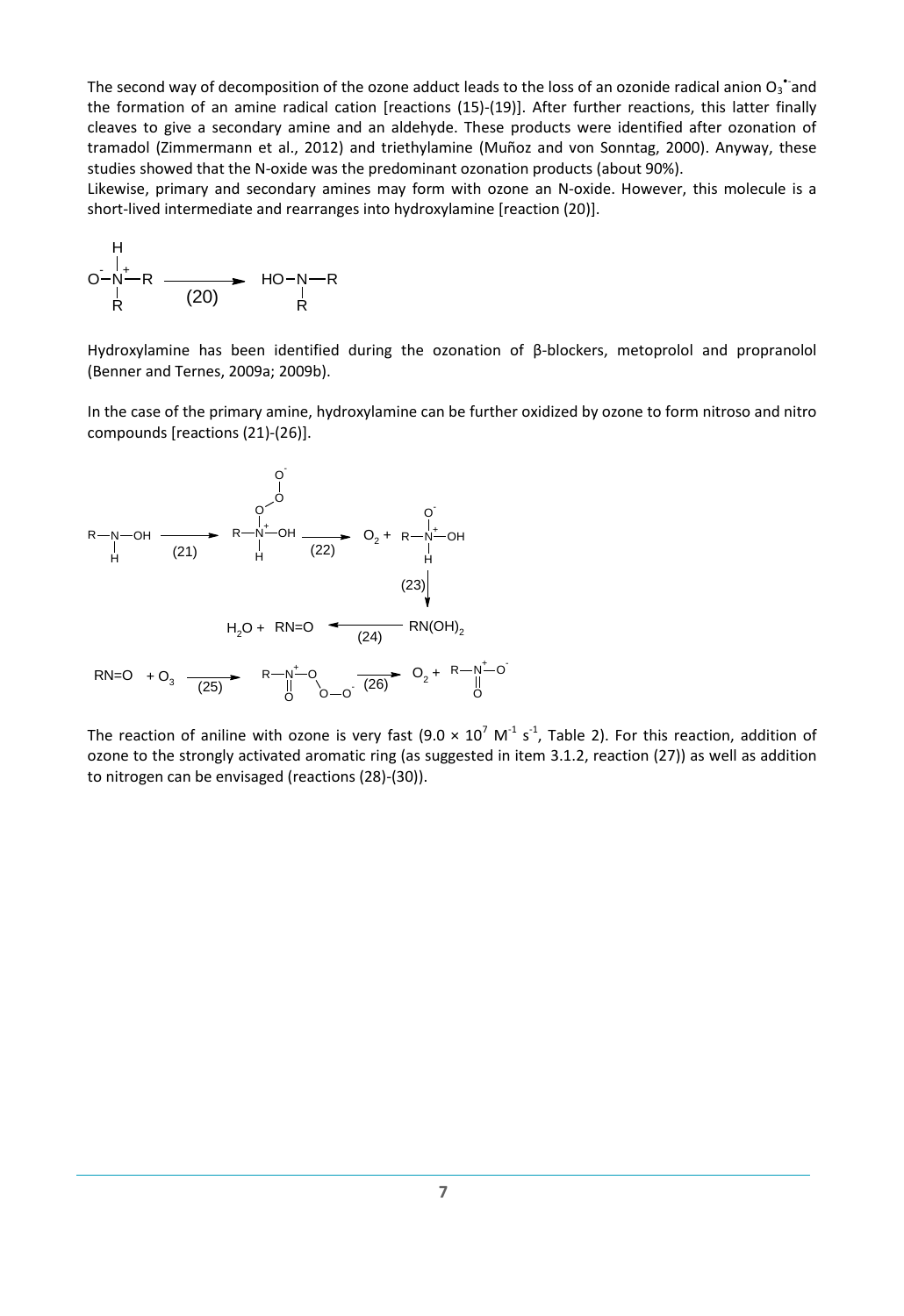The second way of decomposition of the ozone adduct leads to the loss of an ozonide radical anion  $O_3$  and the formation of an amine radical cation [reactions (15)-(19)]. After further reactions, this latter finally cleaves to give a secondary amine and an aldehyde. These products were identified after ozonation of tramadol [\(Zimmermann et al., 2012\)](#page-34-7) and triethylamine [\(Muñoz and von Sonntag, 2000\)](#page-33-9). Anyway, these studies showed that the N-oxide was the predominant ozonation products (about 90%).

Likewise, primary and secondary amines may form with ozone an N-oxide. However, this molecule is a short-lived intermediate and rearranges into hydroxylamine [reaction (20)].

H  
\n
$$
O-N-R
$$
  
\n $\uparrow$   
\nR  
\n(20)  $HO-N-R$   
\nR

Hydroxylamine has been identified during the ozonation of β-blockers, metoprolol and propranolol [\(Benner and Ternes, 2009a;](#page-32-10) [2009b\)](#page-32-7).

In the case of the primary amine, hydroxylamine can be further oxidized by ozone to form nitroso and nitro compounds [reactions (21)-(26)].



The reaction of aniline with ozone is very fast (9.0  $\times$  10<sup>7</sup> M<sup>-1</sup> s<sup>-1</sup>, [Table 2\)](#page-11-1). For this reaction, addition of ozone to the strongly activated aromatic ring (as suggested in item [3.1.2,](#page-10-0) reaction (27)) as well as addition to nitrogen can be envisaged (reactions (28)-(30)).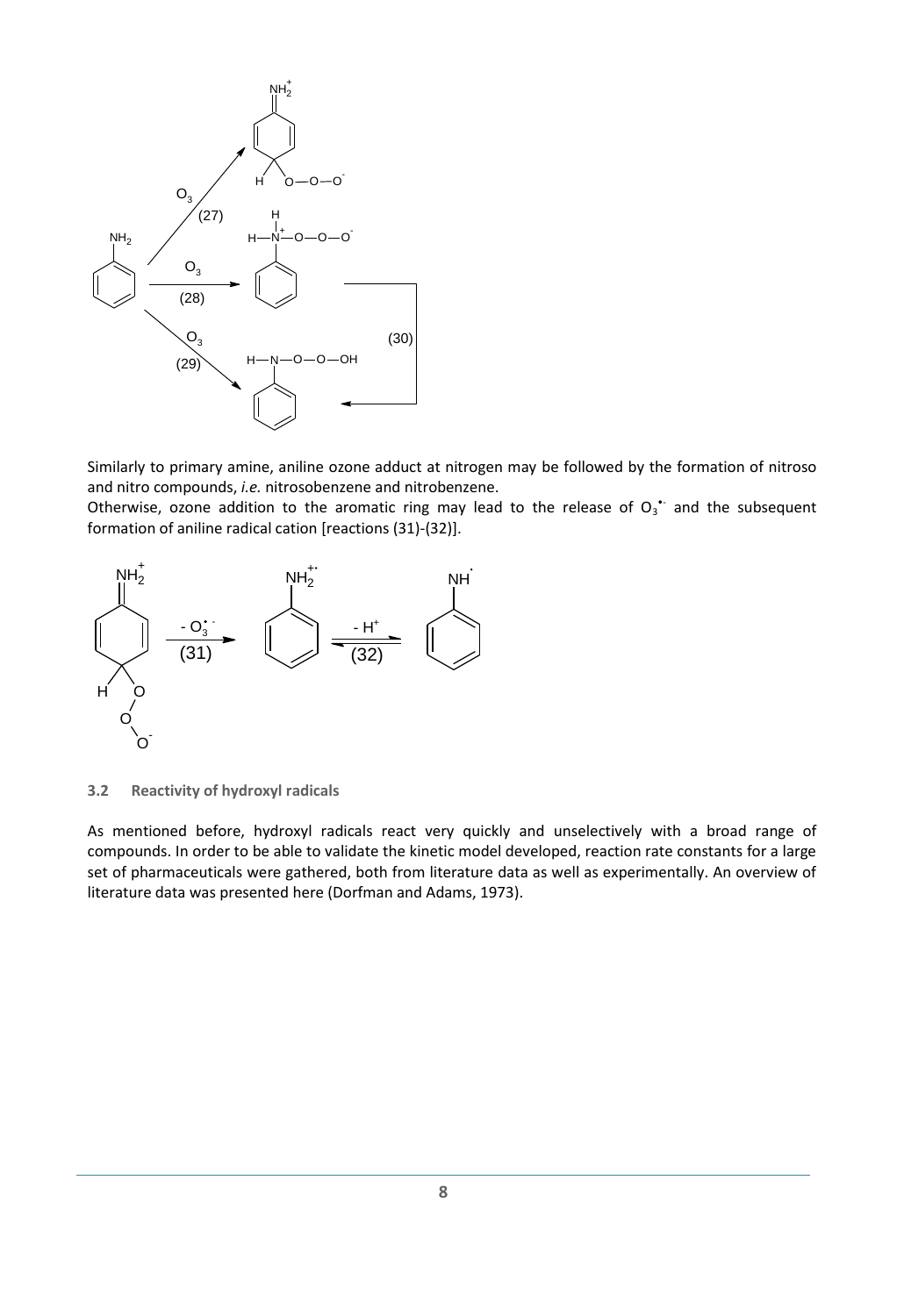

Similarly to primary amine, aniline ozone adduct at nitrogen may be followed by the formation of nitroso and nitro compounds, *i.e.* nitrosobenzene and nitrobenzene.

Otherwise, ozone addition to the aromatic ring may lead to the release of  $O_3$  and the subsequent formation of aniline radical cation [reactions (31)-(32)].



<span id="page-14-0"></span>**3.2 Reactivity of hydroxyl radicals**

As mentioned before, hydroxyl radicals react very quickly and unselectively with a broad range of compounds. In order to be able to validate the kinetic model developed, reaction rate constants for a large set of pharmaceuticals were gathered, both from literature data as well as experimentally. An overview of literature data was presented here [\(Dorfman and Adams, 1973\)](#page-32-11).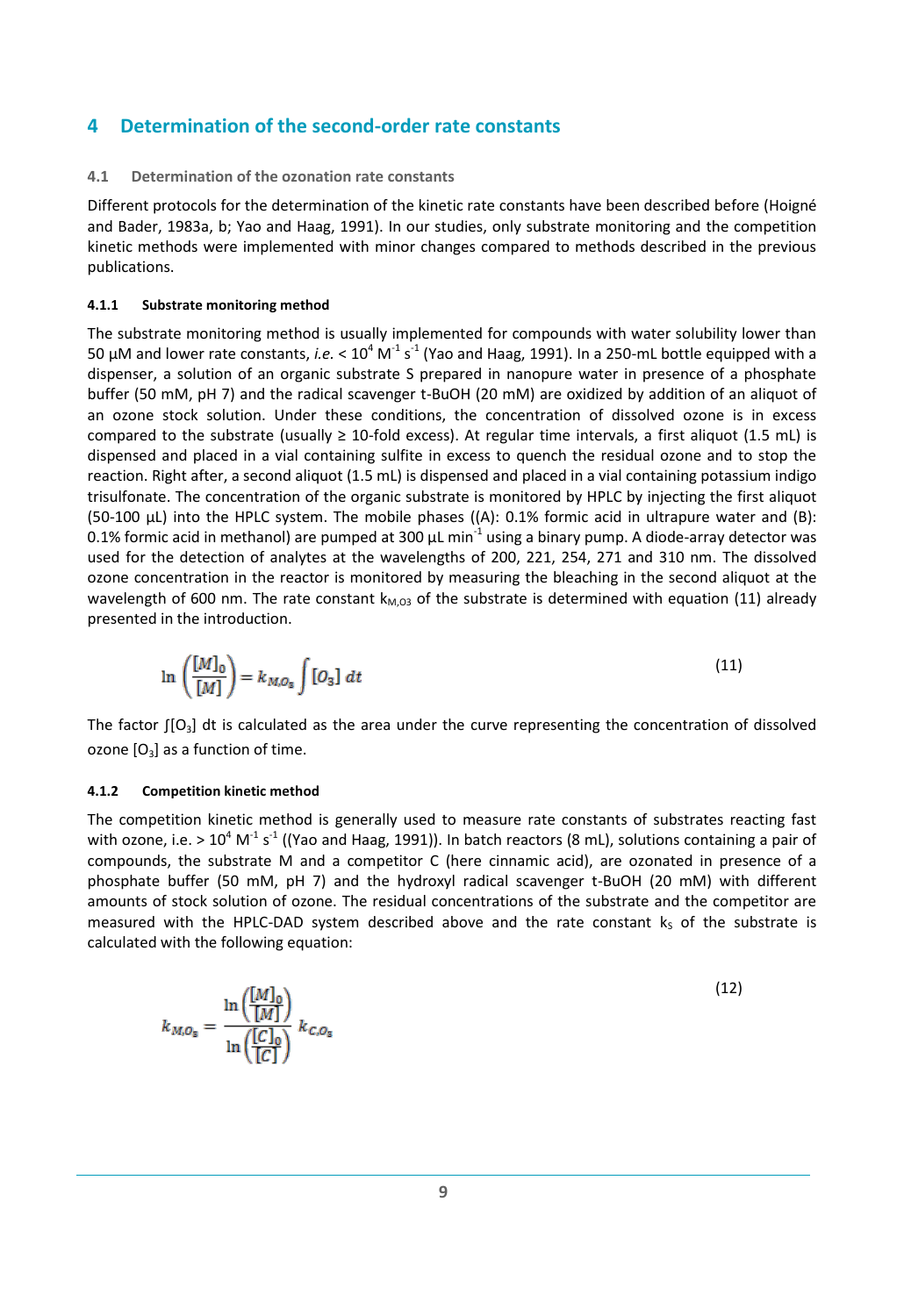## <span id="page-15-0"></span>**4 Determination of the second-order rate constants**

#### <span id="page-15-1"></span>**4.1 Determination of the ozonation rate constants**

Different protocols for the determination of the kinetic rate constants have been described before [\(Hoigné](#page-32-2)  [and Bader, 1983a,](#page-32-2) [b;](#page-32-8) [Yao and Haag, 1991\)](#page-34-6). In our studies, only substrate monitoring and the competition kinetic methods were implemented with minor changes compared to methods described in the previous publications.

#### <span id="page-15-2"></span>**4.1.1 Substrate monitoring method**

The substrate monitoring method is usually implemented for compounds with water solubility lower than 50  $\mu$ M and lower rate constants, *i.e.* < 10<sup>4</sup> M<sup>-1</sup> s<sup>-1</sup> [\(Yao and Haag, 1991\)](#page-34-6). In a 250-mL bottle equipped with a dispenser, a solution of an organic substrate S prepared in nanopure water in presence of a phosphate buffer (50 mM, pH 7) and the radical scavenger t-BuOH (20 mM) are oxidized by addition of an aliquot of an ozone stock solution. Under these conditions, the concentration of dissolved ozone is in excess compared to the substrate (usually  $\geq$  10-fold excess). At regular time intervals, a first aliquot (1.5 mL) is dispensed and placed in a vial containing sulfite in excess to quench the residual ozone and to stop the reaction. Right after, a second aliquot (1.5 mL) is dispensed and placed in a vial containing potassium indigo trisulfonate. The concentration of the organic substrate is monitored by HPLC by injecting the first aliquot (50-100 µL) into the HPLC system. The mobile phases ((A): 0.1% formic acid in ultrapure water and (B): 0.1% formic acid in methanol) are pumped at 300  $\mu$ L min<sup>-1</sup> using a binary pump. A diode-array detector was used for the detection of analytes at the wavelengths of 200, 221, 254, 271 and 310 nm. The dissolved ozone concentration in the reactor is monitored by measuring the bleaching in the second aliquot at the wavelength of 600 nm. The rate constant  $k_{M,03}$  of the substrate is determined with equation (11) already presented in the introduction.

$$
\ln\left(\frac{[M]_0}{[M]}\right) = k_{M,O_\text{S}} \int [O_\text{S}] \ dt \tag{11}
$$

The factor  $\lceil 0_3 \rceil$  dt is calculated as the area under the curve representing the concentration of dissolved ozone  $[O_3]$  as a function of time.

#### <span id="page-15-3"></span>**4.1.2 Competition kinetic method**

The competition kinetic method is generally used to measure rate constants of substrates reacting fast with ozone, i.e. > 10<sup>4</sup> M<sup>-1</sup> s<sup>-1</sup> ([\(Yao and Haag, 1991\)](#page-34-6)). In batch reactors (8 mL), solutions containing a pair of compounds, the substrate M and a competitor C (here cinnamic acid), are ozonated in presence of a phosphate buffer (50 mM, pH 7) and the hydroxyl radical scavenger t-BuOH (20 mM) with different amounts of stock solution of ozone. The residual concentrations of the substrate and the competitor are measured with the HPLC-DAD system described above and the rate constant  $k<sub>s</sub>$  of the substrate is calculated with the following equation:

$$
k_{M,O_\mathtt{S}} = \frac{\ln\left(\frac{[M]_0}{[M]}\right)}{\ln\left(\frac{[C]_0}{[C]}\right)}\,k_{C,O_\mathtt{S}}
$$

(12)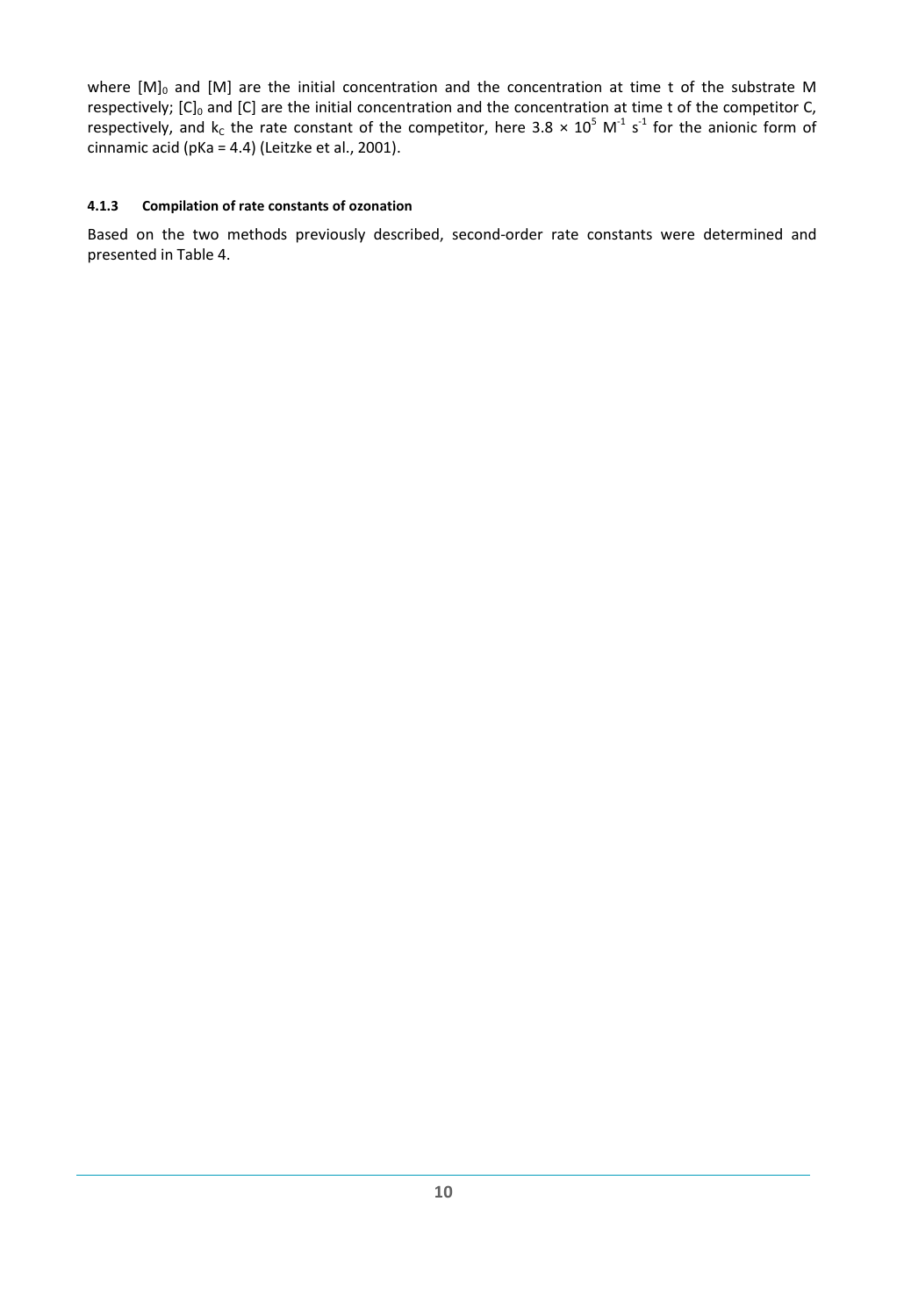where  $[M]_0$  and  $[M]$  are the initial concentration and the concentration at time t of the substrate M respectively;  $[C]_0$  and  $[C]$  are the initial concentration and the concentration at time t of the competitor C, respectively, and  $k_c$  the rate constant of the competitor, here 3.8  $\times$  10<sup>5</sup> M<sup>-1</sup> s<sup>-1</sup> for the anionic form of cinnamic acid (pKa = 4.4) (Leitzke et al., 2001).

#### <span id="page-16-0"></span>**4.1.3 Compilation of rate constants of ozonation**

Based on the two methods previously described, second-order rate constants were determined and presented in [Table 4.](#page-17-0)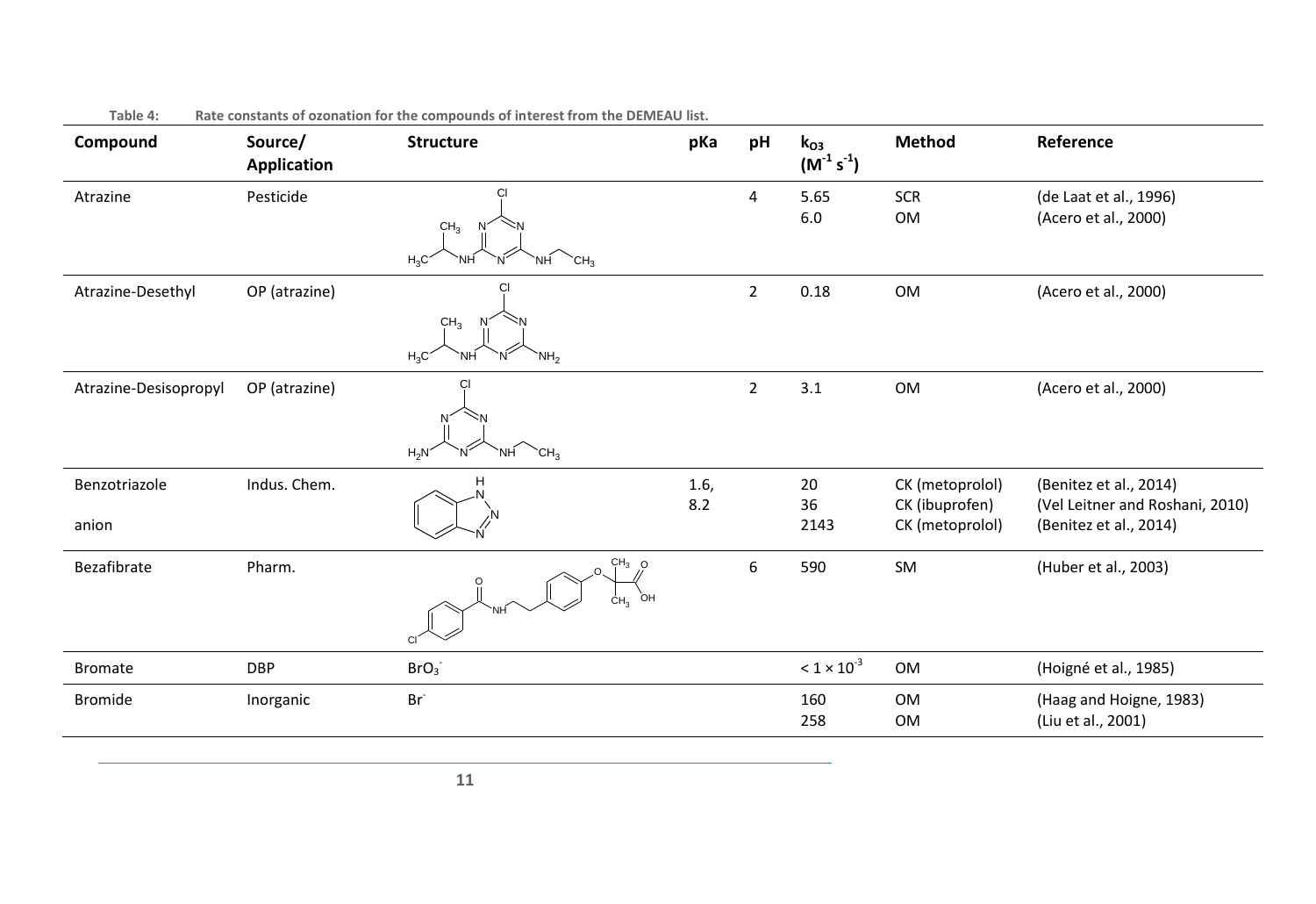<span id="page-17-0"></span>

| Compound               | Source/<br>Application | <b>Structure</b>                                                | pKa         | pH             | $k_{O3}$<br>$(M^{-1} s^{-1})$ | <b>Method</b>                                        | Reference                                                                           |
|------------------------|------------------------|-----------------------------------------------------------------|-------------|----------------|-------------------------------|------------------------------------------------------|-------------------------------------------------------------------------------------|
| Atrazine               | Pesticide              | CI<br>CH <sub>3</sub><br>$H_3C$<br>$C_{H_3}$<br><b>NH</b><br>NΗ |             | $\overline{4}$ | 5.65<br>$6.0\,$               | <b>SCR</b><br>OM                                     | (de Laat et al., 1996)<br>(Acero et al., 2000)                                      |
| Atrazine-Desethyl      | OP (atrazine)          | CI<br>CH <sub>3</sub><br>$H_3C$<br>`NH<br>NH <sub>2</sub>       |             | $\overline{2}$ | 0.18                          | OM                                                   | (Acero et al., 2000)                                                                |
| Atrazine-Desisopropyl  | OP (atrazine)          | СI<br>$H_2N$<br>$\text{CH}_3$<br>`NH                            |             | $\overline{2}$ | 3.1                           | OM                                                   | (Acero et al., 2000)                                                                |
| Benzotriazole<br>anion | Indus. Chem.           |                                                                 | 1.6,<br>8.2 |                | 20<br>36<br>2143              | CK (metoprolol)<br>CK (ibuprofen)<br>CK (metoprolol) | (Benitez et al., 2014)<br>(Vel Leitner and Roshani, 2010)<br>(Benitez et al., 2014) |
| Bezafibrate            | Pharm.                 | $CH3$ O<br>ÒН<br>CH <sub>3</sub><br>C.                          |             | 6              | 590                           | SM                                                   | (Huber et al., 2003)                                                                |
| <b>Bromate</b>         | <b>DBP</b>             | BrO <sub>3</sub>                                                |             |                | $< 1 \times 10^{-3}$          | OM                                                   | (Hoigné et al., 1985)                                                               |
| <b>Bromide</b>         | Inorganic              | Br <sup>-</sup>                                                 |             |                | 160<br>258                    | OM<br>OM                                             | (Haag and Hoigne, 1983)<br>(Liu et al., 2001)                                       |

**Table 4: Rate constants of ozonation for the compounds of interest from the DEMEAU list.**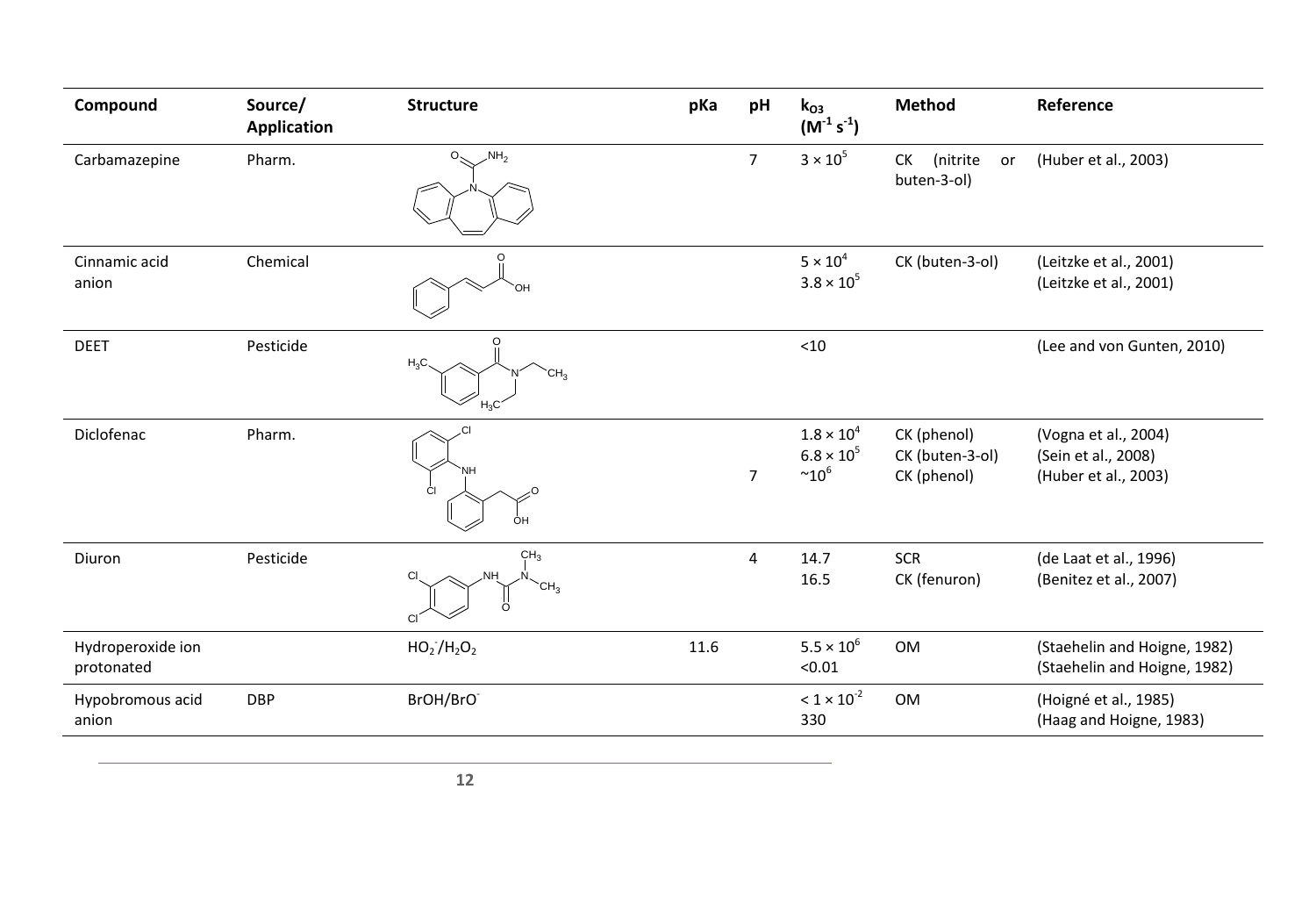| Compound                        | Source/<br><b>Application</b> | <b>Structure</b>                                            | pKa  | pH             | $k_{O3}$<br>$(M^{-1} s^{-1})$                         | <b>Method</b>                                 | Reference                                                           |
|---------------------------------|-------------------------------|-------------------------------------------------------------|------|----------------|-------------------------------------------------------|-----------------------------------------------|---------------------------------------------------------------------|
| Carbamazepine                   | Pharm.                        | $\mathcal{M}_{2}$<br>$O_{\leq 1}$                           |      | $\overline{7}$ | $3 \times 10^5$                                       | (nitrite<br><b>CK</b><br>or<br>buten-3-ol)    | (Huber et al., 2003)                                                |
| Cinnamic acid<br>anion          | Chemical                      |                                                             |      |                | $5 \times 10^4$<br>$3.8 \times 10^{5}$                | CK (buten-3-ol)                               | (Leitzke et al., 2001)<br>(Leitzke et al., 2001)                    |
| <b>DEET</b>                     | Pesticide                     | $H_3C$<br>CH <sub>3</sub><br>$H_3C$                         |      |                | < 10                                                  |                                               | (Lee and von Gunten, 2010)                                          |
| Diclofenac                      | Pharm.                        | ĆI<br>ÔH                                                    |      | $\overline{7}$ | $1.8 \times 10^{4}$<br>$6.8 \times 10^{5}$<br>$~10^6$ | CK (phenol)<br>CK (buten-3-ol)<br>CK (phenol) | (Vogna et al., 2004)<br>(Sein et al., 2008)<br>(Huber et al., 2003) |
| Diuron                          | Pesticide                     | CH <sub>3</sub><br>NH.<br><b>CI</b><br>CH <sub>3</sub><br>O |      | $\overline{4}$ | 14.7<br>16.5                                          | <b>SCR</b><br>CK (fenuron)                    | (de Laat et al., 1996)<br>(Benitez et al., 2007)                    |
| Hydroperoxide ion<br>protonated |                               | $HO_2/H_2O_2$                                               | 11.6 |                | $5.5 \times 10^{6}$<br>< 0.01                         | OM                                            | (Staehelin and Hoigne, 1982)<br>(Staehelin and Hoigne, 1982)        |
| Hypobromous acid<br>anion       | <b>DBP</b>                    | BrOH/BrO                                                    |      |                | $< 1 \times 10^{-2}$<br>330                           | OM                                            | (Hoigné et al., 1985)<br>(Haag and Hoigne, 1983)                    |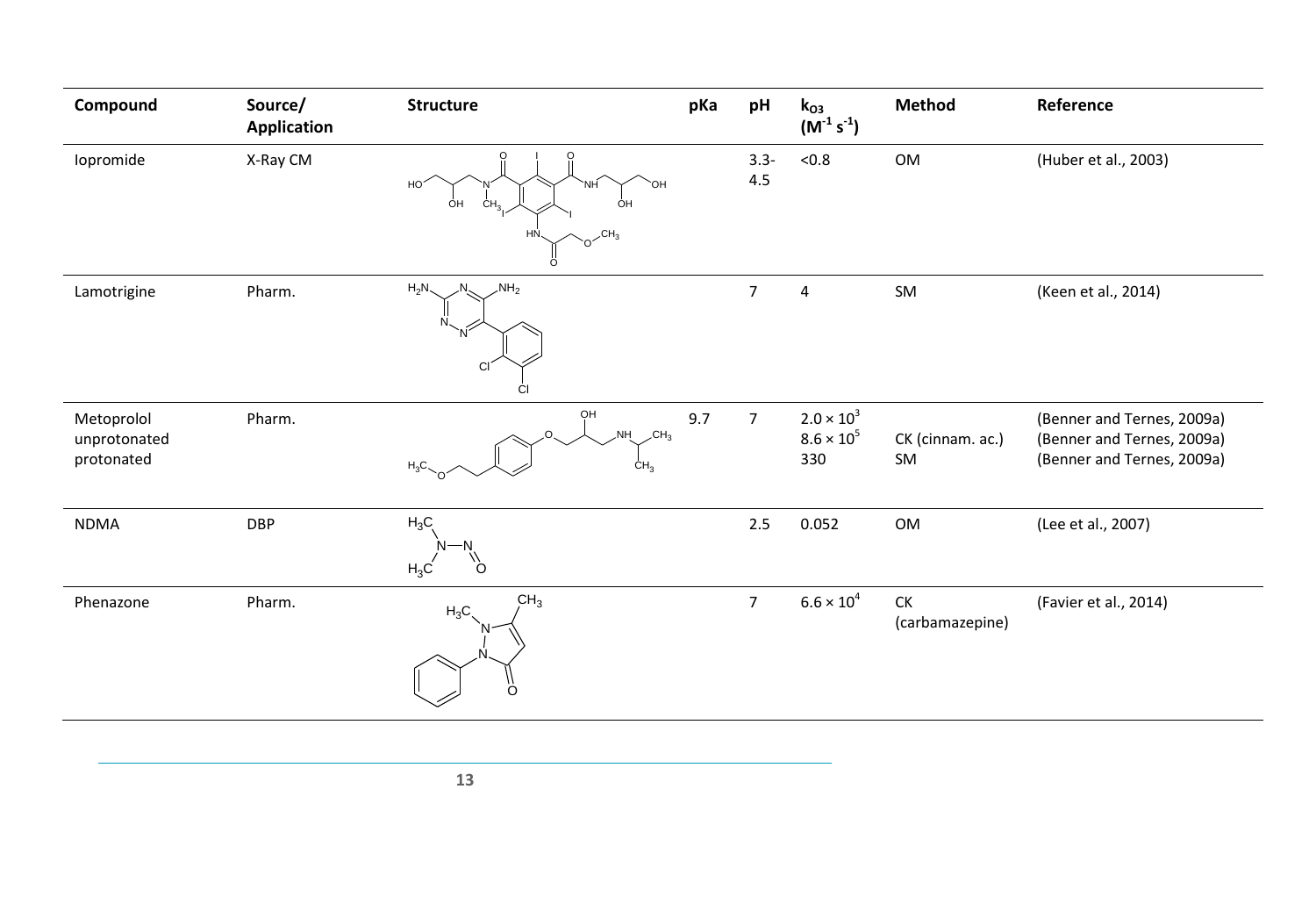| Compound                                 | Source/<br><b>Application</b> | <b>Structure</b>                                                       | pKa | pH             | $k_{O3}$<br>$(M^{-1} s^{-1})$                   | <b>Method</b>                       | Reference                                                                              |
|------------------------------------------|-------------------------------|------------------------------------------------------------------------|-----|----------------|-------------------------------------------------|-------------------------------------|----------------------------------------------------------------------------------------|
| Iopromide                                | X-Ray CM                      | O<br>HO<br>'NH<br>ÓН<br>CH <sub>3</sub><br>ÒΗ<br>CH <sub>3</sub><br>HN |     | $3.3 -$<br>4.5 | < 0.8                                           | OM                                  | (Huber et al., 2003)                                                                   |
| Lamotrigine                              | Pharm.                        | ö<br>$\mathsf{NH}_2$<br>$H_2N$<br>CI<br>CI                             |     | $\overline{7}$ | $\sqrt{4}$                                      | SM                                  | (Keen et al., 2014)                                                                    |
| Metoprolol<br>unprotonated<br>protonated | Pharm.                        | OH<br>.NH<br>CH <sub>3</sub><br>$H_3C$<br>CH <sub>3</sub>              | 9.7 | $\overline{7}$ | $2.0 \times 10^{3}$<br>$8.6 \times 10^5$<br>330 | CK (cinnam. ac.)<br>SM              | (Benner and Ternes, 2009a)<br>(Benner and Ternes, 2009a)<br>(Benner and Ternes, 2009a) |
| <b>NDMA</b>                              | <b>DBP</b>                    | $H_3C$<br>$H_3C$<br>∩                                                  |     | 2.5            | 0.052                                           | OM                                  | (Lee et al., 2007)                                                                     |
| Phenazone                                | Pharm.                        | CH <sub>3</sub><br>$H_3C$<br>Ö                                         |     | $\overline{7}$ | $6.6 \times 10^{4}$                             | ${\sf C}{\sf K}$<br>(carbamazepine) | (Favier et al., 2014)                                                                  |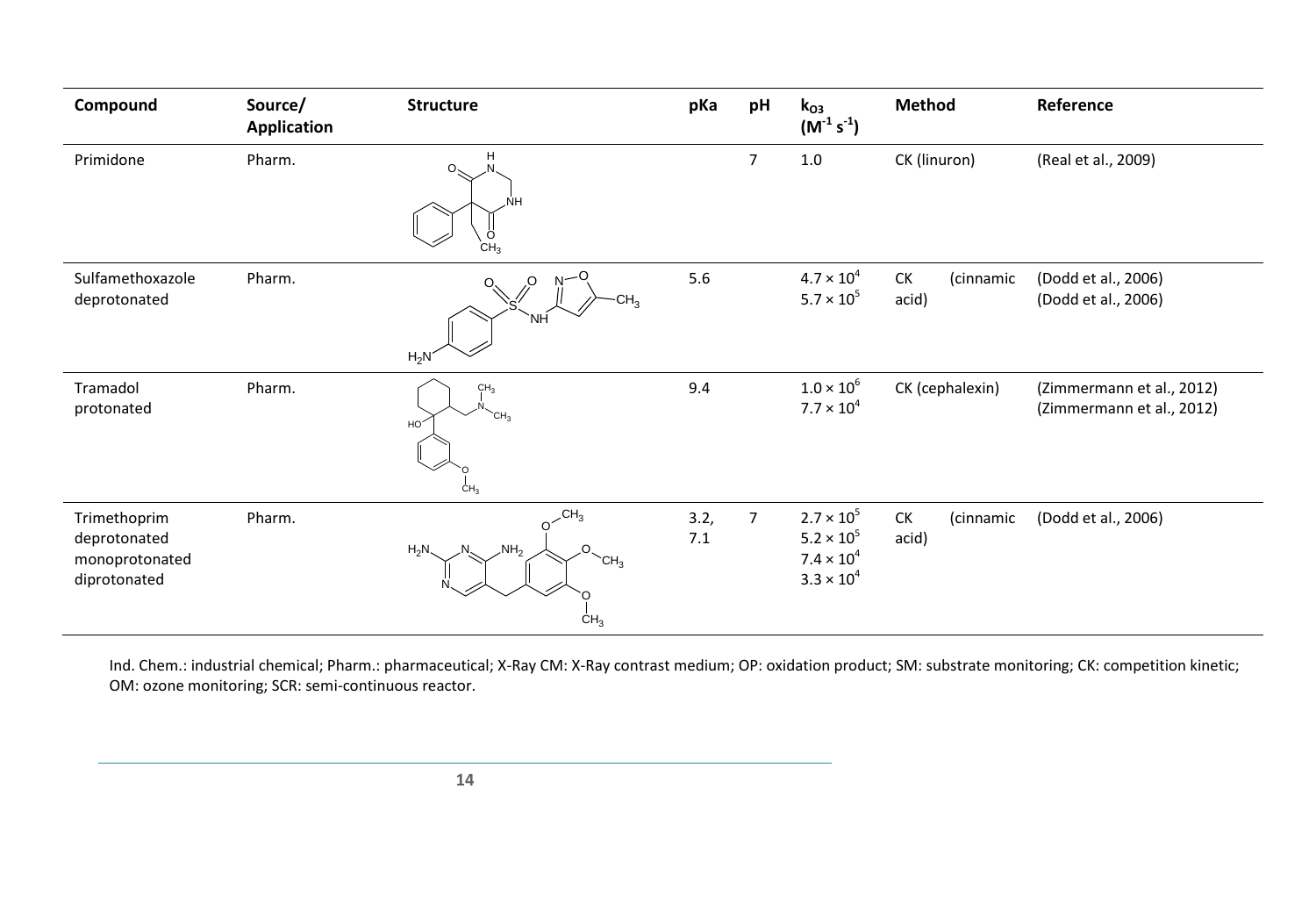| Compound                                                       | Source/<br><b>Application</b> | <b>Structure</b>                                                                | pKa         | pH             | $k_{O3}$<br>$(M^{-1} s^{-1})$                                                            | <b>Method</b>            | Reference                                              |
|----------------------------------------------------------------|-------------------------------|---------------------------------------------------------------------------------|-------------|----------------|------------------------------------------------------------------------------------------|--------------------------|--------------------------------------------------------|
| Primidone                                                      | Pharm.                        | н<br>Ω.<br>NΗ<br>$C_{\mathsf{H}_3}^{\mathsf{O}}$                                |             | $\overline{7}$ | 1.0                                                                                      | CK (linuron)             | (Real et al., 2009)                                    |
| Sulfamethoxazole<br>deprotonated                               | Pharm.                        | O.<br>N-<br>CH <sub>3</sub><br>`NH<br>$H_2N$                                    | 5.6         |                | $4.7 \times 10^{4}$<br>$5.7 \times 10^{5}$                                               | CK<br>(cinnamic<br>acid) | (Dodd et al., 2006)<br>(Dodd et al., 2006)             |
| Tramadol<br>protonated                                         | Pharm.                        | CH <sub>3</sub><br>CH <sub>3</sub><br>HO <sup>2</sup><br>CH <sub>3</sub>        | 9.4         |                | $1.0 \times 10^{6}$<br>$7.7 \times 10^{4}$                                               | CK (cephalexin)          | (Zimmermann et al., 2012)<br>(Zimmermann et al., 2012) |
| Trimethoprim<br>deprotonated<br>monoprotonated<br>diprotonated | Pharm.                        | $O^{-CH_3}$<br>$\mathcal{N}H_2$<br>$H_2N$<br>CH <sub>3</sub><br>CH <sub>3</sub> | 3.2,<br>7.1 | $\overline{7}$ | $2.7 \times 10^{5}$<br>$5.2 \times 10^{5}$<br>$7.4 \times 10^{4}$<br>$3.3 \times 10^{4}$ | CK<br>(cinnamic<br>acid) | (Dodd et al., 2006)                                    |

Ind. Chem.: industrial chemical; Pharm.: pharmaceutical; X-Ray CM: X-Ray contrast medium; OP: oxidation product; SM: substrate monitoring; CK: competition kinetic; OM: ozone monitoring; SCR: semi-continuous reactor.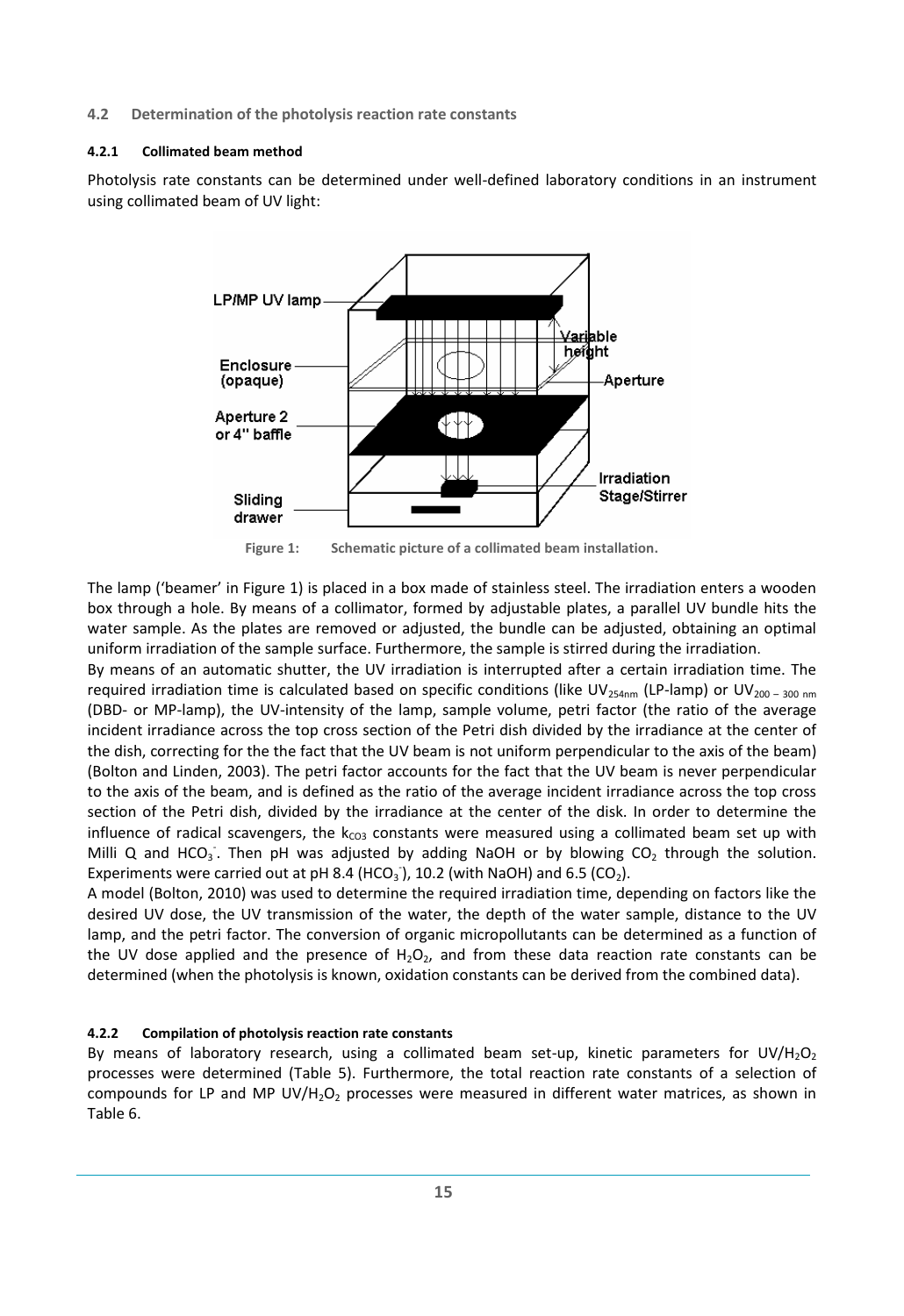#### <span id="page-21-1"></span><span id="page-21-0"></span>**4.2 Determination of the photolysis reaction rate constants**

#### **4.2.1 Collimated beam method**

Photolysis rate constants can be determined under well-defined laboratory conditions in an instrument using collimated beam of UV light:



**Figure 1: Schematic picture of a collimated beam installation.**

<span id="page-21-3"></span>The lamp ('beamer' in Figure 1) is placed in a box made of stainless steel. The irradiation enters a wooden box through a hole. By means of a collimator, formed by adjustable plates, a parallel UV bundle hits the water sample. As the plates are removed or adjusted, the bundle can be adjusted, obtaining an optimal uniform irradiation of the sample surface. Furthermore, the sample is stirred during the irradiation.

By means of an automatic shutter, the UV irradiation is interrupted after a certain irradiation time. The required irradiation time is calculated based on specific conditions (like UV<sub>254nm</sub> (LP-lamp) or UV<sub>200 –</sub> 300 nm (DBD- or MP-lamp), the UV-intensity of the lamp, sample volume, petri factor (the ratio of the average incident irradiance across the top cross section of the Petri dish divided by the irradiance at the center of the dish, correcting for the the fact that the UV beam is not uniform perpendicular to the axis of the beam) (Bolton and Linden, 2003). The petri factor accounts for the fact that the UV beam is never perpendicular to the axis of the beam, and is defined as the ratio of the average incident irradiance across the top cross section of the Petri dish, divided by the irradiance at the center of the disk. In order to determine the influence of radical scavengers, the  $k_{CO3}$  constants were measured using a collimated beam set up with Milli Q and HCO<sub>3</sub>. Then pH was adjusted by adding NaOH or by blowing CO<sub>2</sub> through the solution. Experiments were carried out at pH 8.4 (HCO<sub>3</sub>), 10.2 (with NaOH) and 6.5 (CO<sub>2</sub>).

A model (Bolton, 2010) was used to determine the required irradiation time, depending on factors like the desired UV dose, the UV transmission of the water, the depth of the water sample, distance to the UV lamp, and the petri factor. The conversion of organic micropollutants can be determined as a function of the UV dose applied and the presence of  $H_2O_2$ , and from these data reaction rate constants can be determined (when the photolysis is known, oxidation constants can be derived from the combined data).

#### <span id="page-21-2"></span>**4.2.2 Compilation of photolysis reaction rate constants**

By means of laboratory research, using a collimated beam set-up, kinetic parameters for UV/H<sub>2</sub>O<sub>2</sub> processes were determined [\(Table 5\)](#page-22-0). Furthermore, the total reaction rate constants of a selection of compounds for LP and MP UV/H<sub>2</sub>O<sub>2</sub> processes were measured in different water matrices, as shown in [Table 6.](#page-25-0)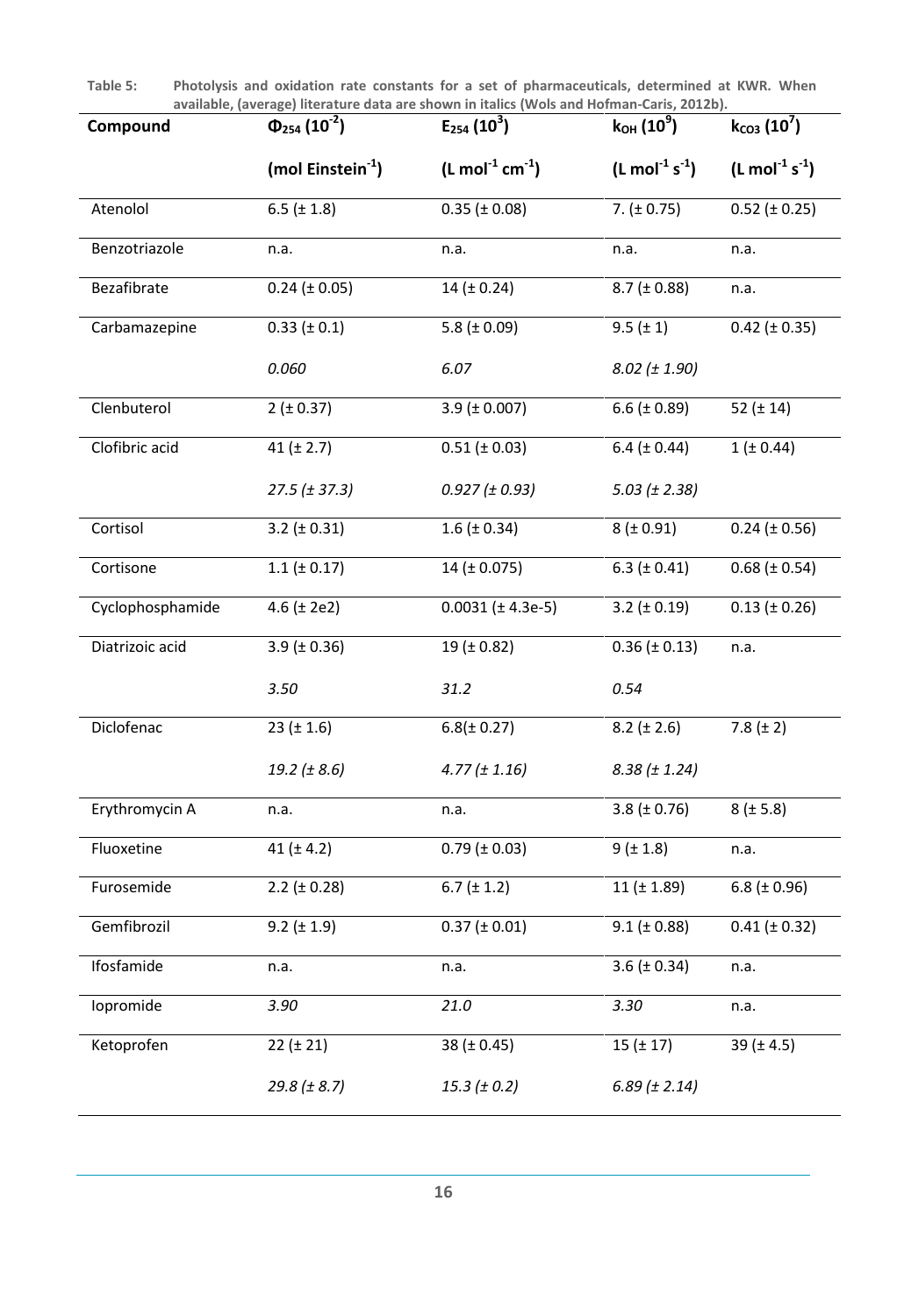<span id="page-22-0"></span>**Table 5: Photolysis and oxidation rate constants for a set of pharmaceuticals, determined at KWR. When available, (average) literature data are shown in italics [\(Wols and Hofman-Caris, 2012b\)](#page-34-13).**

| Compound         | $\Phi_{254}$ (10 <sup>-2</sup> ) | $E_{254}$ (10 <sup>3</sup> )           | $k_{OH}$ (10 <sup>9</sup> )           | $k_{CO3}$ (10 <sup>7</sup> )  |
|------------------|----------------------------------|----------------------------------------|---------------------------------------|-------------------------------|
|                  | (mol Einstein $^{-1}$ )          | $(L \text{ mol}^{-1} \text{ cm}^{-1})$ | $(L \text{ mol}^{-1} \text{ s}^{-1})$ | $(L \text{ mol}^{-1} s^{-1})$ |
| Atenolol         | 6.5 ( $\pm$ 1.8)                 | $0.35$ ( $\pm$ 0.08)                   | 7. $(\pm 0.75)$                       | $0.52 (\pm 0.25)$             |
| Benzotriazole    | n.a.                             | n.a.                                   | n.a.                                  | n.a.                          |
| Bezafibrate      | $0.24$ ( $\pm$ 0.05)             | 14 ( $\pm$ 0.24)                       | $8.7$ ( $\pm$ 0.88)                   | n.a.                          |
| Carbamazepine    | $0.33 (\pm 0.1)$                 | 5.8 ( $\pm$ 0.09)                      | $9.5 (\pm 1)$                         | $0.42 (\pm 0.35)$             |
|                  | 0.060                            | 6.07                                   | $8.02 (\pm 1.90)$                     |                               |
| Clenbuterol      | $2 (\pm 0.37)$                   | $3.9$ ( $\pm$ 0.007)                   | 6.6 ( $\pm$ 0.89)                     | 52 $(\pm 14)$                 |
| Clofibric acid   | 41 $(t 2.7)$                     | $0.51 (\pm 0.03)$                      | 6.4 ( $\pm$ 0.44)                     | $1 (\pm 0.44)$                |
|                  | 27.5 (± 37.3)                    | $0.927 (\pm 0.93)$                     | 5.03 $(\pm 2.38)$                     |                               |
| Cortisol         | $3.2 (\pm 0.31)$                 | $1.6 (\pm 0.34)$                       | 8(±0.91)                              | $0.24$ ( $\pm$ 0.56)          |
| Cortisone        | $1.1$ ( $\pm$ 0.17)              | $14$ ( $\pm$ 0.075)                    | $6.3$ ( $\pm$ 0.41)                   | $0.68 (\pm 0.54)$             |
| Cyclophosphamide | 4.6 $(\pm 2e2)$                  | $0.0031$ ( $\pm$ 4.3e-5)               | 3.2 $(\pm 0.19)$                      | $0.13 (\pm 0.26)$             |
| Diatrizoic acid  | $3.9$ ( $\pm$ 0.36)              | 19 $(± 0.82)$                          | $0.36 (\pm 0.13)$                     | n.a.                          |
|                  | 3.50                             | 31.2                                   | 0.54                                  |                               |
| Diclofenac       | $23 (\pm 1.6)$                   | $6.8(\pm 0.27)$                        | $8.2 (\pm 2.6)$                       | 7.8 $(\pm 2)$                 |
|                  | 19.2 ( $\pm$ 8.6)                | $4.77 (\pm 1.16)$                      | $8.38 (\pm 1.24)$                     |                               |
| Erythromycin A   | n.a.                             | n.a.                                   | 3.8 ( $\pm$ 0.76)                     | $8$ ( $\pm$ 5.8)              |
| Fluoxetine       | 41 ( $\pm$ 4.2)                  | $0.79$ ( $\pm$ 0.03)                   | $9 (+ 1.8)$                           | n.a.                          |
| Furosemide       | $2.2 (\pm 0.28)$                 | $6.7 (\pm 1.2)$                        | $11 (\pm 1.89)$                       | 6.8 ( $\pm$ 0.96)             |
| Gemfibrozil      | $9.2 (\pm 1.9)$                  | $0.37 (\pm 0.01)$                      | $9.1$ ( $\pm$ 0.88)                   | $0.41 (\pm 0.32)$             |
| Ifosfamide       | n.a.                             | n.a.                                   | 3.6 ( $\pm$ 0.34)                     | n.a.                          |
| lopromide        | 3.90                             | 21.0                                   | 3.30                                  | n.a.                          |
| Ketoprofen       | $22 (\pm 21)$                    | 38 ( $\pm$ 0.45)                       | $15(t + 17)$                          | 39 ( $\pm$ 4.5)               |
|                  | $29.8 (\pm 8.7)$                 | $15.3 (\pm 0.2)$                       | $6.89 (\pm 2.14)$                     |                               |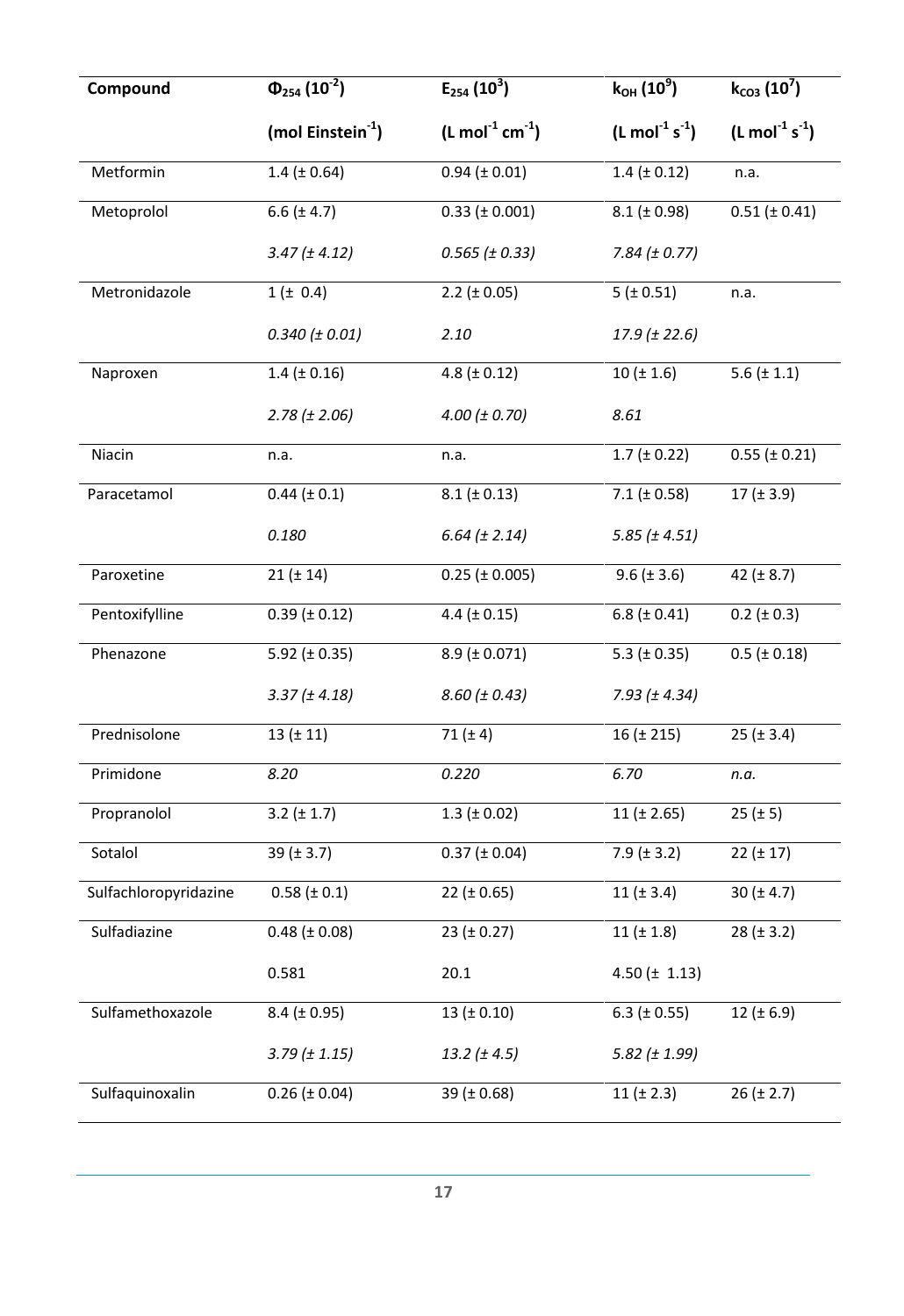| Compound              | $\Phi_{254}$ (10 <sup>-2</sup> ) | $E_{254}$ (10 <sup>3</sup> ) | $k_{OH}$ (10 <sup>9</sup> )           | $k_{CO3}$ (10 $\overline{7}$ )        |
|-----------------------|----------------------------------|------------------------------|---------------------------------------|---------------------------------------|
|                       | (mol Einstein $^{-1}$ )          | $(L mol-1 cm-1)$             | $(L \text{ mol}^{-1} \text{ s}^{-1})$ | $(L \text{ mol}^{-1} \text{ s}^{-1})$ |
| Metformin             | $1.4$ ( $\pm$ 0.64)              | $0.94$ ( $\pm$ 0.01)         | $1.4$ ( $\pm$ 0.12)                   | n.a.                                  |
| Metoprolol            | 6.6 $(\pm 4.7)$                  | $0.33$ ( $\pm$ 0.001)        | $8.1$ ( $\pm$ 0.98)                   | $0.51 (\pm 0.41)$                     |
|                       | $3.47 (\pm 4.12)$                | $0.565$ ( $\pm$ 0.33)        | $7.84 (\pm 0.77)$                     |                                       |
| Metronidazole         | $1 (\pm 0.4)$                    | 2.2 ( $\pm$ 0.05)            | 5(±0.51)                              | n.a.                                  |
|                       | $0.340$ ( $\pm$ 0.01)            | 2.10                         | $17.9 (\pm 22.6)$                     |                                       |
| Naproxen              | $1.4$ ( $\pm$ 0.16)              | 4.8 ( $\pm$ 0.12)            | $10 (\pm 1.6)$                        | 5.6 $(\pm 1.1)$                       |
|                       | $2.78 (\pm 2.06)$                | 4.00 (± 0.70)                | 8.61                                  |                                       |
| Niacin                | n.a.                             | n.a.                         | $1.7$ ( $\pm$ 0.22)                   | $0.55$ ( $\pm$ 0.21)                  |
| Paracetamol           | $0.44 (\pm 0.1)$                 | $8.1 (\pm 0.13)$             | 7.1 ( $\pm$ 0.58)                     | $17 (\pm 3.9)$                        |
|                       | 0.180                            | $6.64 (\pm 2.14)$            | $5.85$ ( $\pm$ 4.51)                  |                                       |
| Paroxetine            | $21 (\pm 14)$                    | $0.25$ ( $\pm$ 0.005)        | $9.6 (\pm 3.6)$                       | 42 $(± 8.7)$                          |
| Pentoxifylline        | $0.39$ ( $\pm$ 0.12)             | 4.4 $(\pm 0.15)$             | 6.8 ( $\pm$ 0.41)                     | $0.2 (\pm 0.3)$                       |
| Phenazone             | 5.92 ( $\pm$ 0.35)               | $8.9$ ( $\pm$ 0.071)         | 5.3 ( $\pm$ 0.35)                     | $0.5$ ( $\pm$ 0.18)                   |
|                       | $3.37 (\pm 4.18)$                | $8.60 (\pm 0.43)$            | $7.93 (\pm 4.34)$                     |                                       |
| Prednisolone          | 13 (± 11)                        | 71 $(\pm 4)$                 | $16 (\pm 215)$                        | $25 (\pm 3.4)$                        |
| Primidone             | 8.20                             | 0.220                        | 6.70                                  | n.a.                                  |
| Propranolol           | $3.2 (\pm 1.7)$                  | $1.3 \ (\pm 0.02)$           | $11 (\pm 2.65)$                       | $25 (\pm 5)$                          |
| Sotalol               | 39 ( $\pm$ 3.7)                  | $0.37 (\pm 0.04)$            | $7.9 (\pm 3.2)$                       | $22 (\pm 17)$                         |
| Sulfachloropyridazine | $0.58 (\pm 0.1)$                 | 22 ( $\pm$ 0.65)             | 11 $(\pm 3.4)$                        | 30 ( $\pm$ 4.7)                       |
| Sulfadiazine          | $0.48 (\pm 0.08)$                | $23 (\pm 0.27)$              | 11 ( $\pm$ 1.8)                       | $28 (\pm 3.2)$                        |
|                       | 0.581                            | 20.1                         | 4.50 $(\pm 1.13)$                     |                                       |
| Sulfamethoxazole      | $8.4 (\pm 0.95)$                 | 13 ( $\pm$ 0.10)             | 6.3 ( $\pm$ 0.55)                     | 12 ( $\pm$ 6.9)                       |
|                       | $3.79$ ( $\pm$ 1.15)             | 13.2 $(\pm 4.5)$             | $5.82$ ( $\pm$ 1.99)                  |                                       |
| Sulfaquinoxalin       | $0.26 (\pm 0.04)$                | 39 ( $\pm$ 0.68)             | 11 ( $\pm$ 2.3)                       | $26 (\pm 2.7)$                        |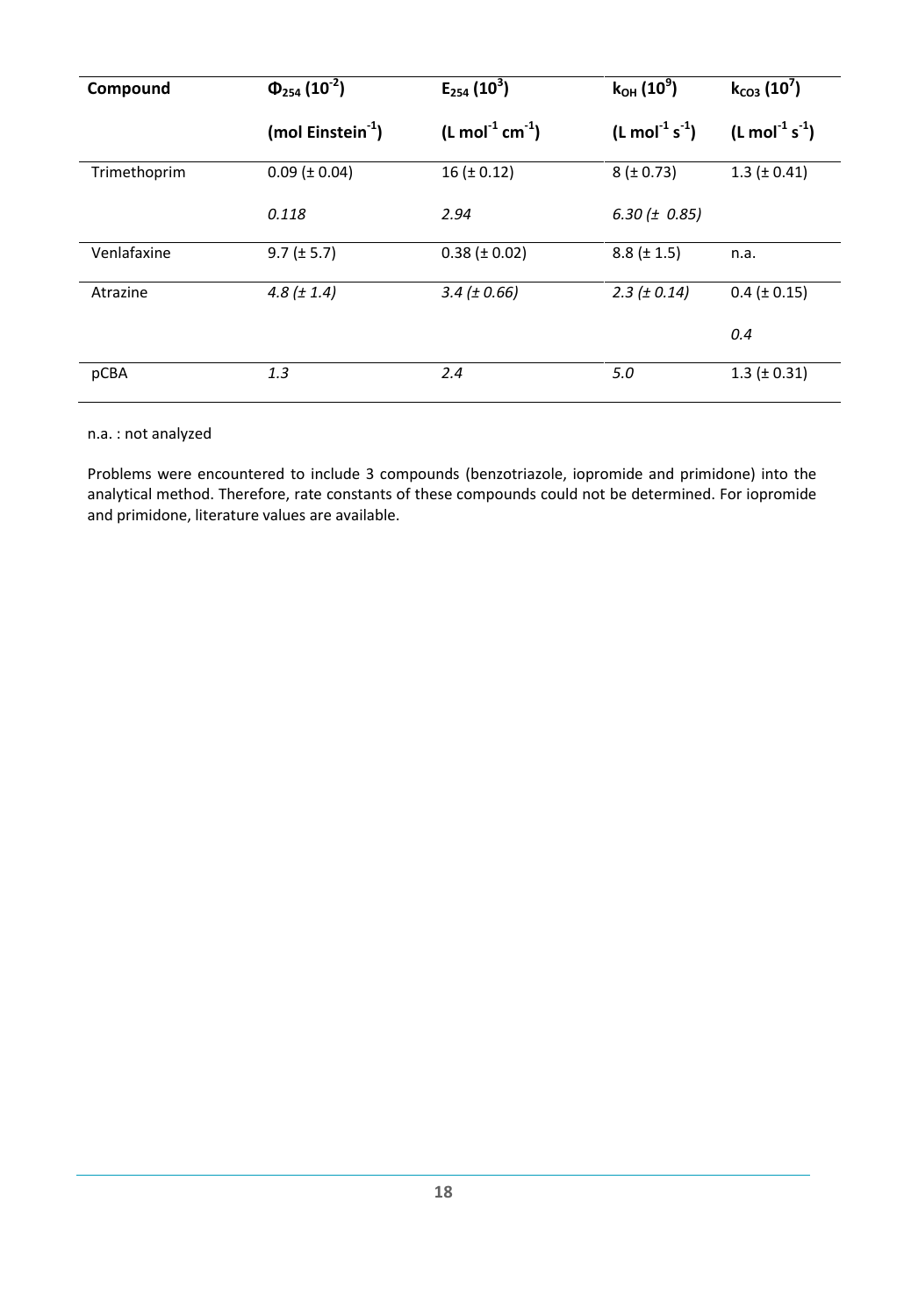| Compound     | $\Phi_{254}$ (10 <sup>-2</sup> ) | $E_{254}$ (10 <sup>3</sup> )           | $k_{OH}$ (10 <sup>9</sup> )   | $k_{CO3}$ (10 <sup>'</sup> )  |  |  |
|--------------|----------------------------------|----------------------------------------|-------------------------------|-------------------------------|--|--|
|              | (mol Einstein $^{-1}$ )          | $(L \text{ mol}^{-1} \text{ cm}^{-1})$ | $(L \text{ mol}^{-1} s^{-1})$ | $(L \text{ mol}^{-1} s^{-1})$ |  |  |
| Trimethoprim | $0.09$ ( $\pm$ 0.04)             | $16 (\pm 0.12)$                        | $8 (\pm 0.73)$                | $1.3$ ( $\pm$ 0.41)           |  |  |
|              | 0.118                            | 2.94                                   | 6.30 ( $\pm$ 0.85)            |                               |  |  |
| Venlafaxine  | $9.7 (\pm 5.7)$                  | $0.38 (\pm 0.02)$                      | $8.8 (\pm 1.5)$               | n.a.                          |  |  |
| Atrazine     | 4.8 $(\pm 1.4)$                  | $3.4 (\pm 0.66)$                       | $2.3 (\pm 0.14)$              | $0.4$ ( $\pm$ 0.15)           |  |  |
|              |                                  |                                        |                               | 0.4                           |  |  |
| pCBA         | 1.3                              | 2.4                                    | 5.0                           | $1.3$ ( $\pm$ 0.31)           |  |  |

### n.a. : not analyzed

Problems were encountered to include 3 compounds (benzotriazole, iopromide and primidone) into the analytical method. Therefore, rate constants of these compounds could not be determined. For iopromide and primidone, literature values are available.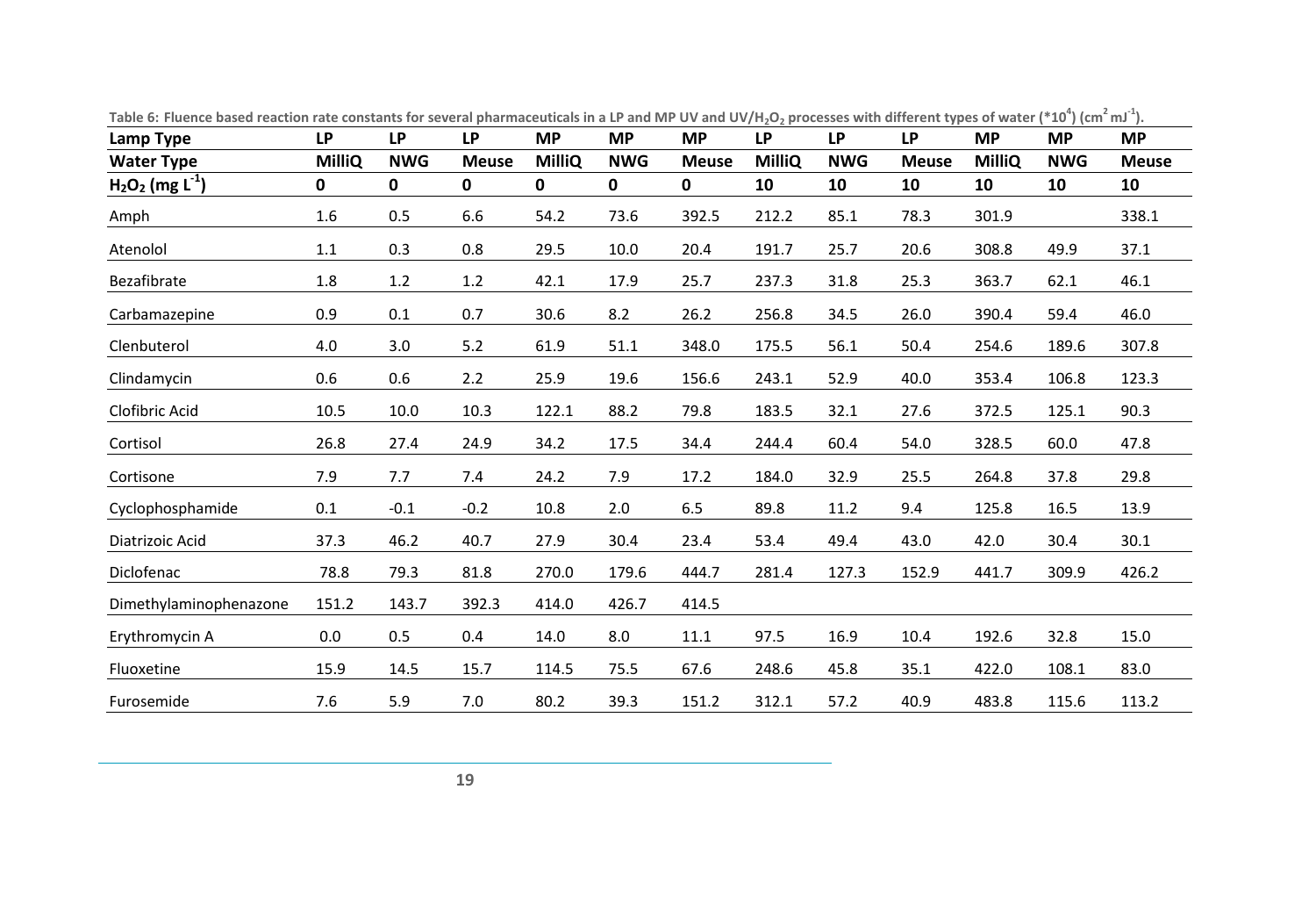<span id="page-25-0"></span>

| Lamp Type                      | <b>LP</b>     | <b>LP</b>    | <b>LP</b>    | <b>MP</b>     | <b>MP</b>    | <b>MP</b>    | <b>LP</b>     | <b>LP</b>  | <b>LP</b>    | <b>MP</b>     | <b>MP</b>  | <b>MP</b>    |
|--------------------------------|---------------|--------------|--------------|---------------|--------------|--------------|---------------|------------|--------------|---------------|------------|--------------|
| <b>Water Type</b>              | <b>MilliQ</b> | <b>NWG</b>   | <b>Meuse</b> | <b>MilliQ</b> | <b>NWG</b>   | <b>Meuse</b> | <b>MilliQ</b> | <b>NWG</b> | <b>Meuse</b> | <b>MilliQ</b> | <b>NWG</b> | <b>Meuse</b> |
| $H_2O_2$ (mg L <sup>-1</sup> ) | $\mathbf 0$   | $\mathbf{0}$ | $\mathbf{0}$ | $\mathbf{0}$  | $\mathbf{0}$ | $\mathbf 0$  | 10            | 10         | 10           | 10            | 10         | 10           |
| Amph                           | 1.6           | 0.5          | 6.6          | 54.2          | 73.6         | 392.5        | 212.2         | 85.1       | 78.3         | 301.9         |            | 338.1        |
| Atenolol                       | 1.1           | 0.3          | 0.8          | 29.5          | 10.0         | 20.4         | 191.7         | 25.7       | 20.6         | 308.8         | 49.9       | 37.1         |
| Bezafibrate                    | 1.8           | 1.2          | 1.2          | 42.1          | 17.9         | 25.7         | 237.3         | 31.8       | 25.3         | 363.7         | 62.1       | 46.1         |
| Carbamazepine                  | 0.9           | 0.1          | 0.7          | 30.6          | 8.2          | 26.2         | 256.8         | 34.5       | 26.0         | 390.4         | 59.4       | 46.0         |
| Clenbuterol                    | 4.0           | 3.0          | 5.2          | 61.9          | 51.1         | 348.0        | 175.5         | 56.1       | 50.4         | 254.6         | 189.6      | 307.8        |
| Clindamycin                    | 0.6           | 0.6          | 2.2          | 25.9          | 19.6         | 156.6        | 243.1         | 52.9       | 40.0         | 353.4         | 106.8      | 123.3        |
| Clofibric Acid                 | 10.5          | 10.0         | 10.3         | 122.1         | 88.2         | 79.8         | 183.5         | 32.1       | 27.6         | 372.5         | 125.1      | 90.3         |
| Cortisol                       | 26.8          | 27.4         | 24.9         | 34.2          | 17.5         | 34.4         | 244.4         | 60.4       | 54.0         | 328.5         | 60.0       | 47.8         |
| Cortisone                      | 7.9           | 7.7          | 7.4          | 24.2          | 7.9          | 17.2         | 184.0         | 32.9       | 25.5         | 264.8         | 37.8       | 29.8         |
| Cyclophosphamide               | 0.1           | $-0.1$       | $-0.2$       | 10.8          | 2.0          | 6.5          | 89.8          | 11.2       | 9.4          | 125.8         | 16.5       | 13.9         |
| Diatrizoic Acid                | 37.3          | 46.2         | 40.7         | 27.9          | 30.4         | 23.4         | 53.4          | 49.4       | 43.0         | 42.0          | 30.4       | 30.1         |
| Diclofenac                     | 78.8          | 79.3         | 81.8         | 270.0         | 179.6        | 444.7        | 281.4         | 127.3      | 152.9        | 441.7         | 309.9      | 426.2        |
| Dimethylaminophenazone         | 151.2         | 143.7        | 392.3        | 414.0         | 426.7        | 414.5        |               |            |              |               |            |              |
| Erythromycin A                 | 0.0           | 0.5          | 0.4          | 14.0          | 8.0          | 11.1         | 97.5          | 16.9       | 10.4         | 192.6         | 32.8       | 15.0         |
| Fluoxetine                     | 15.9          | 14.5         | 15.7         | 114.5         | 75.5         | 67.6         | 248.6         | 45.8       | 35.1         | 422.0         | 108.1      | 83.0         |
| Furosemide                     | 7.6           | 5.9          | 7.0          | 80.2          | 39.3         | 151.2        | 312.1         | 57.2       | 40.9         | 483.8         | 115.6      | 113.2        |

Table 6: Fluence based reaction rate constants for several pharmaceuticals in a LP and MP UV and UV/H<sub>2</sub>O<sub>2</sub> processes with different types of water (\*10<sup>4</sup>) (cm<sup>2</sup>mJ<sup>-1</sup>).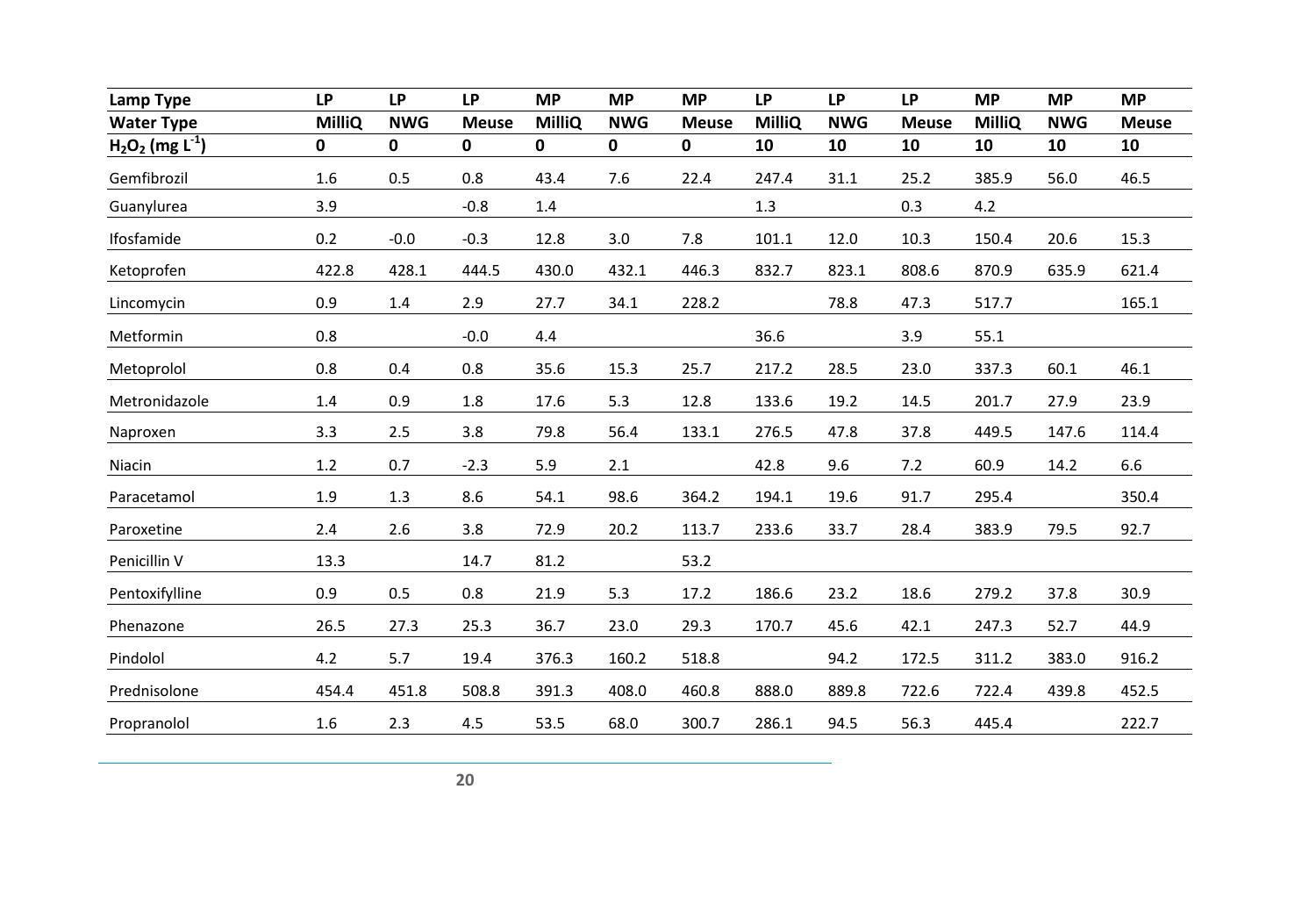| Lamp Type                      | <b>LP</b>     | <b>LP</b>   | <b>LP</b>    | <b>MP</b>     | <b>MP</b>   | <b>MP</b>    | <b>LP</b>     | <b>LP</b>  | <b>LP</b>    | <b>MP</b>     | <b>MP</b>  | <b>MP</b>    |
|--------------------------------|---------------|-------------|--------------|---------------|-------------|--------------|---------------|------------|--------------|---------------|------------|--------------|
| <b>Water Type</b>              | <b>MilliQ</b> | <b>NWG</b>  | <b>Meuse</b> | <b>MilliQ</b> | <b>NWG</b>  | <b>Meuse</b> | <b>MilliQ</b> | <b>NWG</b> | <b>Meuse</b> | <b>MilliQ</b> | <b>NWG</b> | <b>Meuse</b> |
| $H_2O_2$ (mg L <sup>-1</sup> ) | $\mathbf 0$   | $\mathbf 0$ | $\mathbf 0$  | $\mathbf 0$   | $\mathbf 0$ | $\mathbf 0$  | 10            | 10         | 10           | 10            | 10         | 10           |
| Gemfibrozil                    | 1.6           | 0.5         | 0.8          | 43.4          | 7.6         | 22.4         | 247.4         | 31.1       | 25.2         | 385.9         | 56.0       | 46.5         |
| Guanylurea                     | 3.9           |             | $-0.8$       | 1.4           |             |              | $1.3$         |            | 0.3          | 4.2           |            |              |
| Ifosfamide                     | 0.2           | $-0.0$      | $-0.3$       | 12.8          | 3.0         | 7.8          | 101.1         | 12.0       | 10.3         | 150.4         | 20.6       | 15.3         |
| Ketoprofen                     | 422.8         | 428.1       | 444.5        | 430.0         | 432.1       | 446.3        | 832.7         | 823.1      | 808.6        | 870.9         | 635.9      | 621.4        |
| Lincomycin                     | 0.9           | $1.4\,$     | 2.9          | 27.7          | 34.1        | 228.2        |               | 78.8       | 47.3         | 517.7         |            | 165.1        |
| Metformin                      | 0.8           |             | $-0.0$       | 4.4           |             |              | 36.6          |            | 3.9          | 55.1          |            |              |
| Metoprolol                     | 0.8           | 0.4         | 0.8          | 35.6          | 15.3        | 25.7         | 217.2         | 28.5       | 23.0         | 337.3         | 60.1       | 46.1         |
| Metronidazole                  | 1.4           | 0.9         | 1.8          | 17.6          | 5.3         | 12.8         | 133.6         | 19.2       | 14.5         | 201.7         | 27.9       | 23.9         |
| Naproxen                       | 3.3           | 2.5         | 3.8          | 79.8          | 56.4        | 133.1        | 276.5         | 47.8       | 37.8         | 449.5         | 147.6      | 114.4        |
| Niacin                         | 1.2           | 0.7         | $-2.3$       | 5.9           | 2.1         |              | 42.8          | 9.6        | 7.2          | 60.9          | 14.2       | 6.6          |
| Paracetamol                    | 1.9           | 1.3         | 8.6          | 54.1          | 98.6        | 364.2        | 194.1         | 19.6       | 91.7         | 295.4         |            | 350.4        |
| Paroxetine                     | 2.4           | 2.6         | 3.8          | 72.9          | 20.2        | 113.7        | 233.6         | 33.7       | 28.4         | 383.9         | 79.5       | 92.7         |
| Penicillin V                   | 13.3          |             | 14.7         | 81.2          |             | 53.2         |               |            |              |               |            |              |
| Pentoxifylline                 | 0.9           | 0.5         | 0.8          | 21.9          | 5.3         | 17.2         | 186.6         | 23.2       | 18.6         | 279.2         | 37.8       | 30.9         |
| Phenazone                      | 26.5          | 27.3        | 25.3         | 36.7          | 23.0        | 29.3         | 170.7         | 45.6       | 42.1         | 247.3         | 52.7       | 44.9         |
| Pindolol                       | 4.2           | 5.7         | 19.4         | 376.3         | 160.2       | 518.8        |               | 94.2       | 172.5        | 311.2         | 383.0      | 916.2        |
| Prednisolone                   | 454.4         | 451.8       | 508.8        | 391.3         | 408.0       | 460.8        | 888.0         | 889.8      | 722.6        | 722.4         | 439.8      | 452.5        |
| Propranolol                    | 1.6           | 2.3         | 4.5          | 53.5          | 68.0        | 300.7        | 286.1         | 94.5       | 56.3         | 445.4         |            | 222.7        |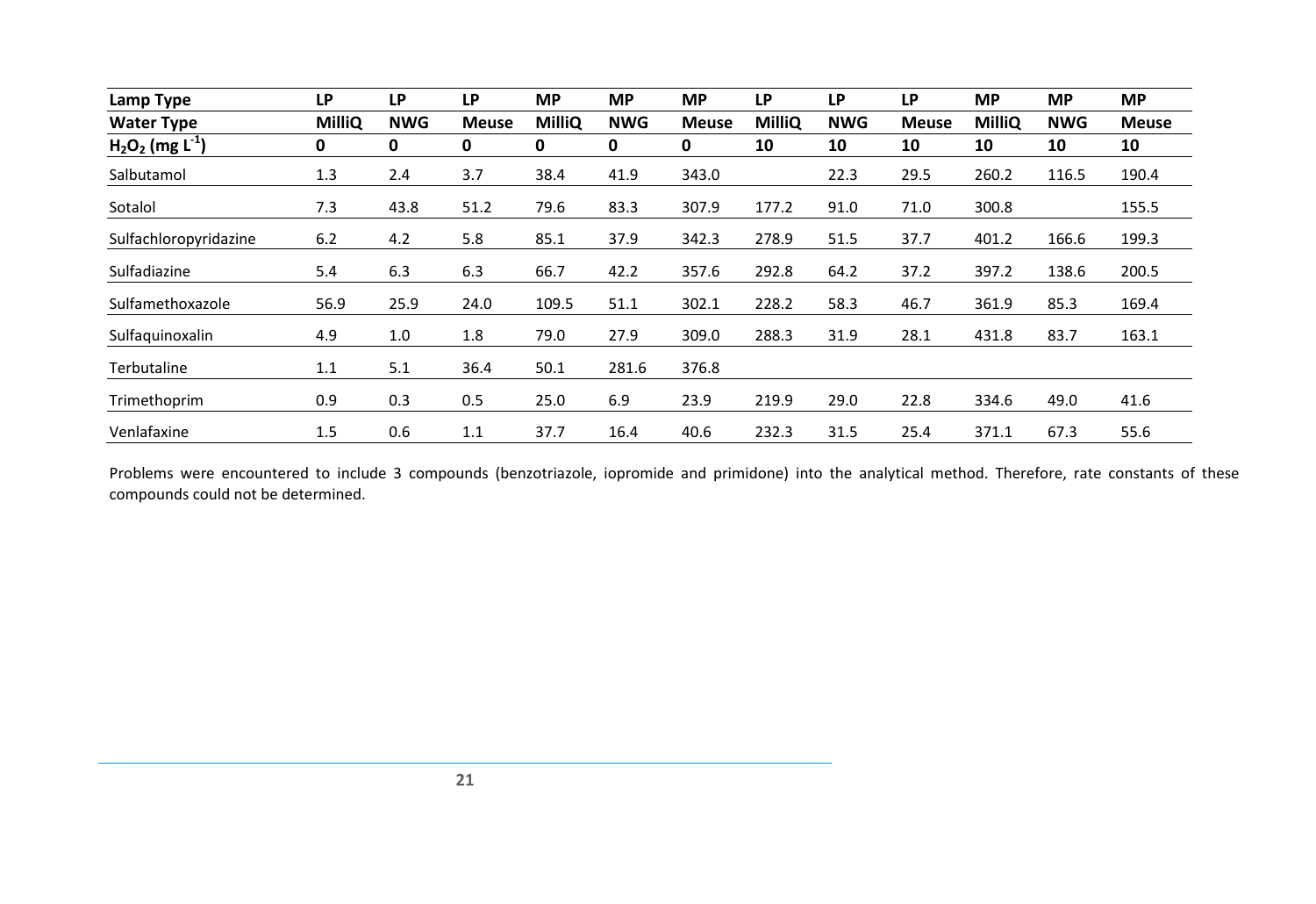| Lamp Type                      | LP            | LP         | <b>LP</b>    | <b>MP</b>     | <b>MP</b>  | <b>MP</b>    | <b>LP</b>     | <b>LP</b>  | <b>LP</b>    | <b>MP</b>     | <b>MP</b>  | <b>MP</b>    |
|--------------------------------|---------------|------------|--------------|---------------|------------|--------------|---------------|------------|--------------|---------------|------------|--------------|
| <b>Water Type</b>              | <b>MilliQ</b> | <b>NWG</b> | <b>Meuse</b> | <b>MilliQ</b> | <b>NWG</b> | <b>Meuse</b> | <b>MilliQ</b> | <b>NWG</b> | <b>Meuse</b> | <b>MilliQ</b> | <b>NWG</b> | <b>Meuse</b> |
| $H_2O_2$ (mg L <sup>-1</sup> ) | 0             | 0          | 0            | 0             | 0          | 0            | 10            | 10         | 10           | 10            | 10         | 10           |
| Salbutamol                     | 1.3           | 2.4        | 3.7          | 38.4          | 41.9       | 343.0        |               | 22.3       | 29.5         | 260.2         | 116.5      | 190.4        |
| Sotalol                        | 7.3           | 43.8       | 51.2         | 79.6          | 83.3       | 307.9        | 177.2         | 91.0       | 71.0         | 300.8         |            | 155.5        |
| Sulfachloropyridazine          | 6.2           | 4.2        | 5.8          | 85.1          | 37.9       | 342.3        | 278.9         | 51.5       | 37.7         | 401.2         | 166.6      | 199.3        |
| Sulfadiazine                   | 5.4           | 6.3        | 6.3          | 66.7          | 42.2       | 357.6        | 292.8         | 64.2       | 37.2         | 397.2         | 138.6      | 200.5        |
| Sulfamethoxazole               | 56.9          | 25.9       | 24.0         | 109.5         | 51.1       | 302.1        | 228.2         | 58.3       | 46.7         | 361.9         | 85.3       | 169.4        |
| Sulfaquinoxalin                | 4.9           | 1.0        | 1.8          | 79.0          | 27.9       | 309.0        | 288.3         | 31.9       | 28.1         | 431.8         | 83.7       | 163.1        |
| Terbutaline                    | 1.1           | 5.1        | 36.4         | 50.1          | 281.6      | 376.8        |               |            |              |               |            |              |
| Trimethoprim                   | 0.9           | 0.3        | 0.5          | 25.0          | 6.9        | 23.9         | 219.9         | 29.0       | 22.8         | 334.6         | 49.0       | 41.6         |
| Venlafaxine                    | 1.5           | 0.6        | 1.1          | 37.7          | 16.4       | 40.6         | 232.3         | 31.5       | 25.4         | 371.1         | 67.3       | 55.6         |

Problems were encountered to include 3 compounds (benzotriazole, iopromide and primidone) into the analytical method. Therefore, rate constants of these compounds could not be determined.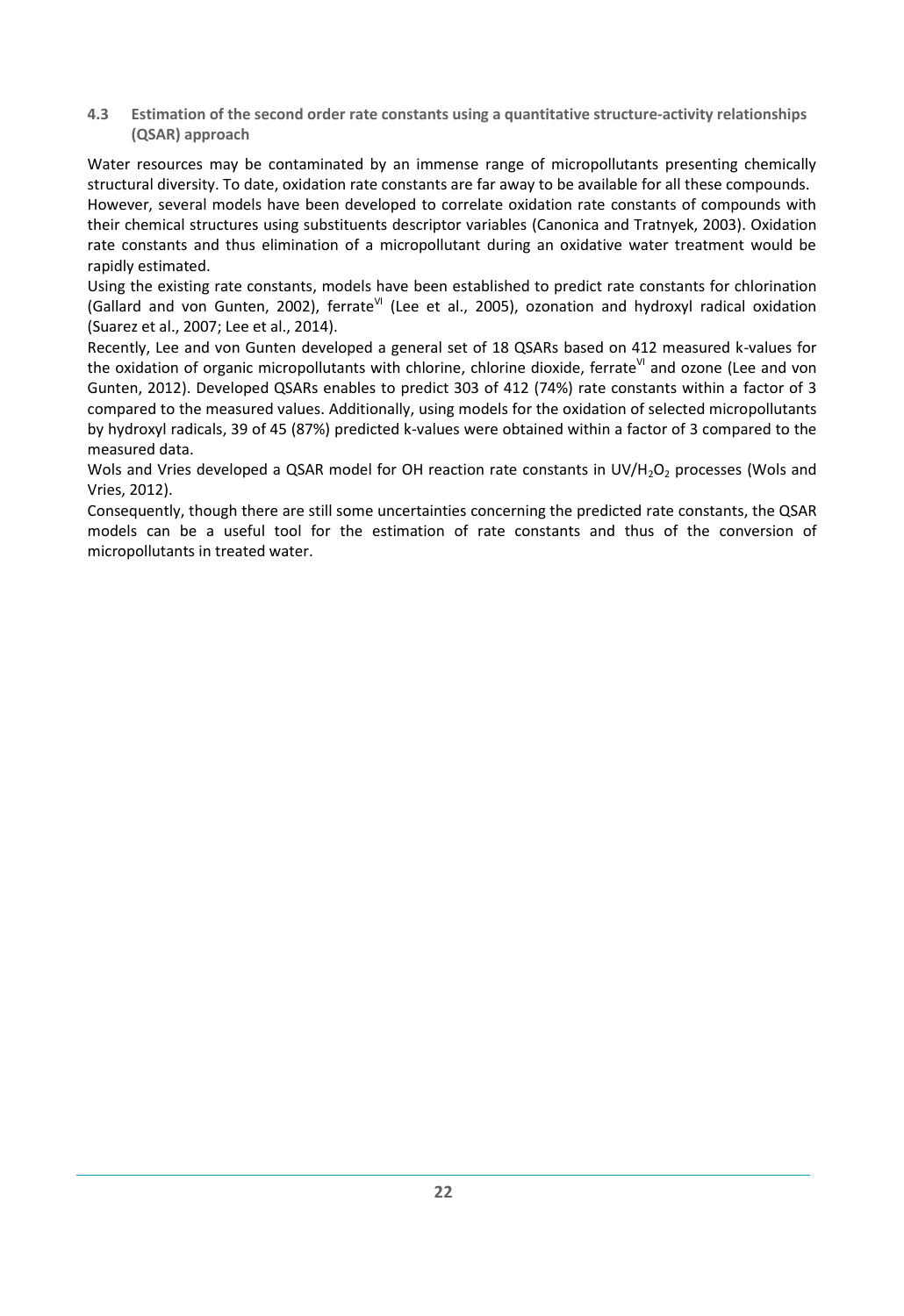<span id="page-28-0"></span>**4.3 Estimation of the second order rate constants using a quantitative structure-activity relationships (QSAR) approach**

Water resources may be contaminated by an immense range of micropollutants presenting chemically structural diversity. To date, oxidation rate constants are far away to be available for all these compounds. However, several models have been developed to correlate oxidation rate constants of compounds with their chemical structures using substituents descriptor variables [\(Canonica and Tratnyek, 2003\)](#page-32-21). Oxidation rate constants and thus elimination of a micropollutant during an oxidative water treatment would be rapidly estimated.

Using the existing rate constants, models have been established to predict rate constants for chlorination [\(Gallard and von Gunten, 2002\)](#page-32-22), ferrate<sup>VI</sup> [\(Lee et al., 2005\)](#page-33-19), ozonation and hydroxyl radical oxidation [\(Suarez et al., 2007;](#page-34-14) [Lee et al., 2014\)](#page-33-20).

Recently, Lee and von Gunten developed a general set of 18 QSARs based on 412 measured k-values for the oxidation of organic micropollutants with chlorine, chlorine dioxide, ferrate<sup>VI</sup> and ozone (Lee and von [Gunten, 2012\)](#page-33-21). Developed QSARs enables to predict 303 of 412 (74%) rate constants within a factor of 3 compared to the measured values. Additionally, using models for the oxidation of selected micropollutants by hydroxyl radicals, 39 of 45 (87%) predicted k-values were obtained within a factor of 3 compared to the measured data.

Wols and Vries developed a QSAR model for OH reaction rate constants in UV/H<sub>2</sub>O<sub>2</sub> processes (Wols and [Vries, 2012\)](#page-34-15).

Consequently, though there are still some uncertainties concerning the predicted rate constants, the QSAR models can be a useful tool for the estimation of rate constants and thus of the conversion of micropollutants in treated water.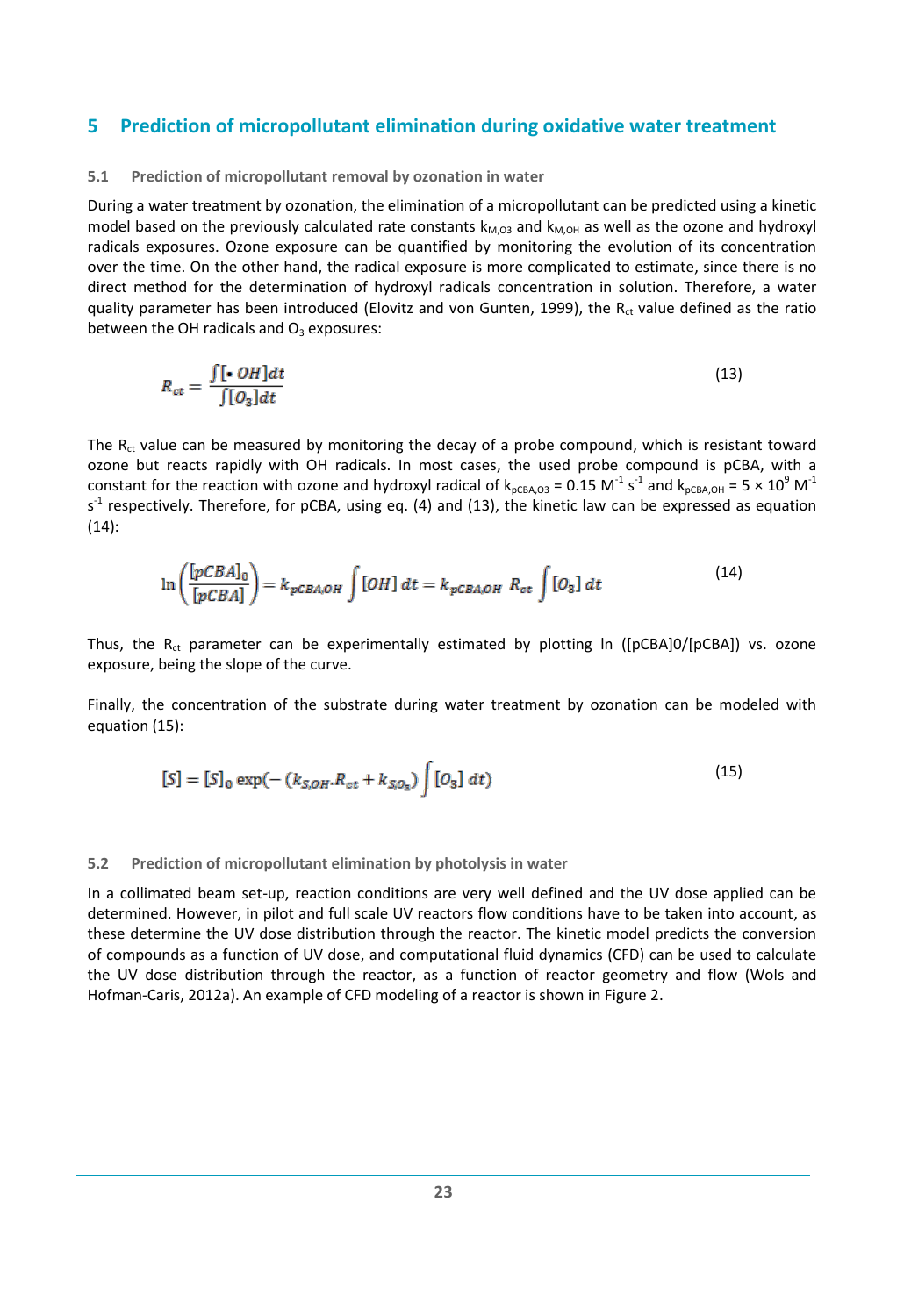### <span id="page-29-0"></span>**5 Prediction of micropollutant elimination during oxidative water treatment**

#### <span id="page-29-1"></span>**5.1 Prediction of micropollutant removal by ozonation in water**

During a water treatment by ozonation, the elimination of a micropollutant can be predicted using a kinetic model based on the previously calculated rate constants  $k_{M,OG}$  and  $k_{M,OH}$  as well as the ozone and hydroxyl radicals exposures. Ozone exposure can be quantified by monitoring the evolution of its concentration over the time. On the other hand, the radical exposure is more complicated to estimate, since there is no direct method for the determination of hydroxyl radicals concentration in solution. Therefore, a water quality parameter has been introduced [\(Elovitz and von Gunten, 1999\)](#page-32-23), the  $R<sub>ct</sub>$  value defined as the ratio between the OH radicals and  $O_3$  exposures:

$$
R_{ct} = \frac{\int [\bullet \; OH]dt}{\int [O_3]dt} \tag{13}
$$

The  $R_{ct}$  value can be measured by monitoring the decay of a probe compound, which is resistant toward ozone but reacts rapidly with OH radicals. In most cases, the used probe compound is pCBA, with a constant for the reaction with ozone and hydroxyl radical of  $k_{pCBA,O3}$  = 0.15 M<sup>-1</sup> s<sup>-1</sup> and  $k_{pCBA,OH}$  = 5  $\times$  10<sup>9</sup> M<sup>-1</sup>  $s<sup>-1</sup>$  respectively. Therefore, for pCBA, using eq. (4) and (13), the kinetic law can be expressed as equation (14):

$$
\ln\left(\frac{[pCBA]_0}{[pCBA]} \right) = k_{pCBA,OH} \int [OH] dt = k_{pCBA,OH} R_{ct} \int [O_3] dt
$$
\n(14)

Thus, the R<sub>ct</sub> parameter can be experimentally estimated by plotting ln ([pCBA]0/[pCBA]) vs. ozone exposure, being the slope of the curve.

Finally, the concentration of the substrate during water treatment by ozonation can be modeled with equation (15):

$$
[S] = [S]_0 \exp(-\left(k_{S,OH}R_{ct} + k_{S,O_S}\right) \int [O_3] \, dt) \tag{15}
$$

#### <span id="page-29-2"></span>**5.2 Prediction of micropollutant elimination by photolysis in water**

In a collimated beam set-up, reaction conditions are very well defined and the UV dose applied can be determined. However, in pilot and full scale UV reactors flow conditions have to be taken into account, as these determine the UV dose distribution through the reactor. The kinetic model predicts the conversion of compounds as a function of UV dose, and computational fluid dynamics (CFD) can be used to calculate the UV dose distribution through the reactor, as a function of reactor geometry and flow [\(Wols and](#page-34-16)  [Hofman-Caris, 2012a\)](#page-34-16). An example of CFD modeling of a reactor is shown in [Figure 2.](#page-30-0)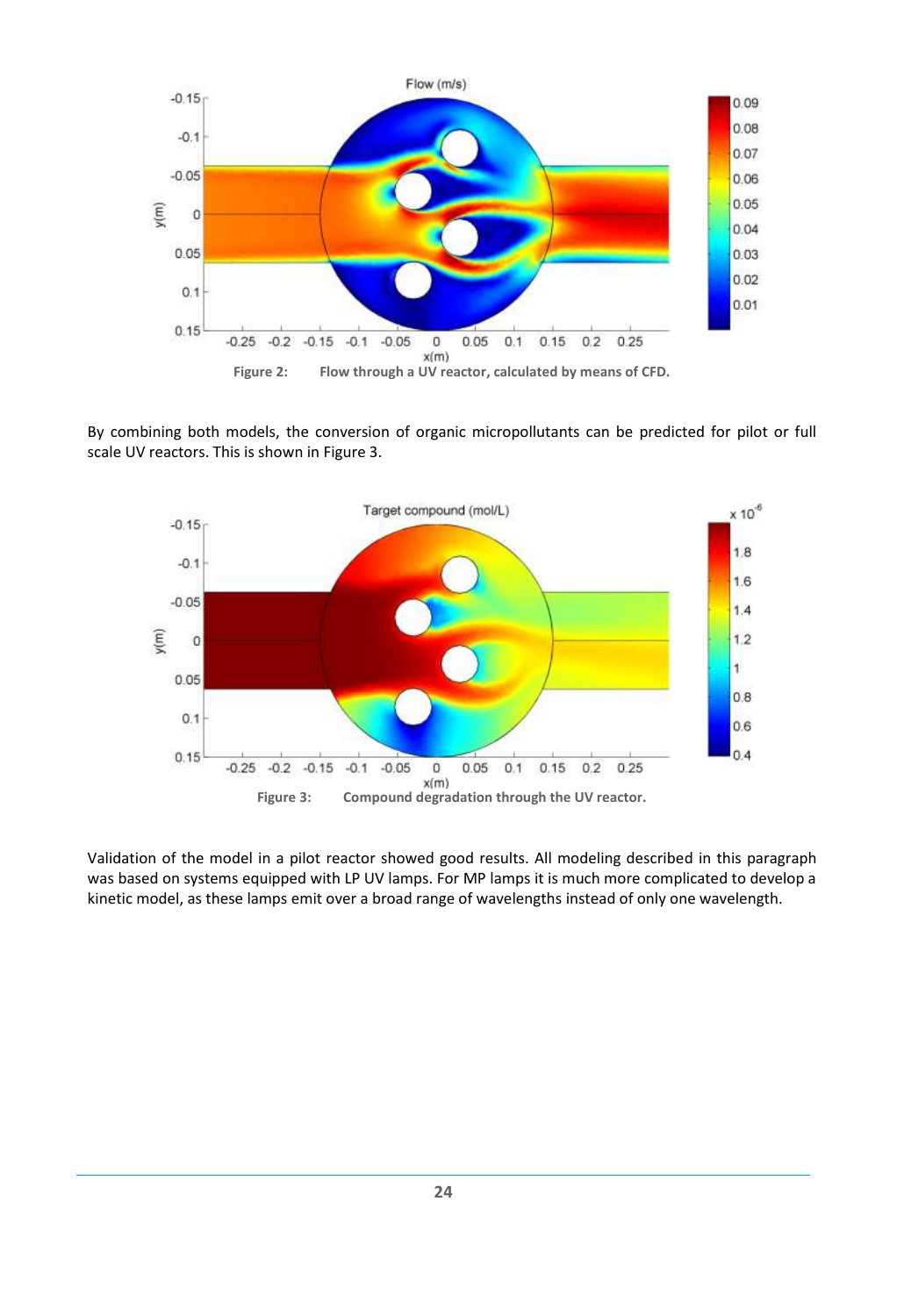

<span id="page-30-0"></span>By combining both models, the conversion of organic micropollutants can be predicted for pilot or full scale UV reactors. This is shown in [Figure 3.](#page-30-1)



<span id="page-30-1"></span>Validation of the model in a pilot reactor showed good results. All modeling described in this paragraph was based on systems equipped with LP UV lamps. For MP lamps it is much more complicated to develop a kinetic model, as these lamps emit over a broad range of wavelengths instead of only one wavelength.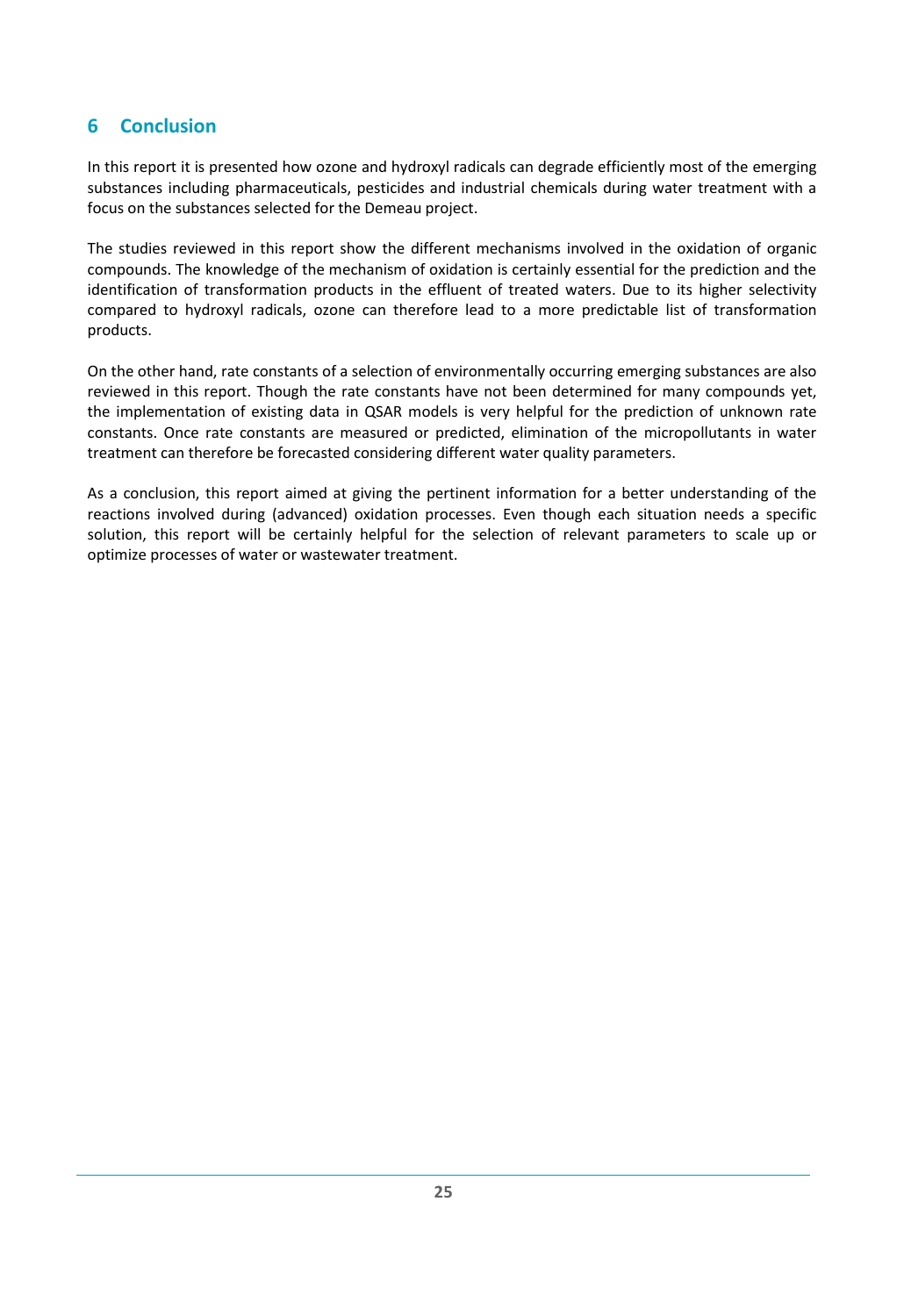## <span id="page-31-0"></span>**6 Conclusion**

In this report it is presented how ozone and hydroxyl radicals can degrade efficiently most of the emerging substances including pharmaceuticals, pesticides and industrial chemicals during water treatment with a focus on the substances selected for the Demeau project.

The studies reviewed in this report show the different mechanisms involved in the oxidation of organic compounds. The knowledge of the mechanism of oxidation is certainly essential for the prediction and the identification of transformation products in the effluent of treated waters. Due to its higher selectivity compared to hydroxyl radicals, ozone can therefore lead to a more predictable list of transformation products.

On the other hand, rate constants of a selection of environmentally occurring emerging substances are also reviewed in this report. Though the rate constants have not been determined for many compounds yet, the implementation of existing data in QSAR models is very helpful for the prediction of unknown rate constants. Once rate constants are measured or predicted, elimination of the micropollutants in water treatment can therefore be forecasted considering different water quality parameters.

As a conclusion, this report aimed at giving the pertinent information for a better understanding of the reactions involved during (advanced) oxidation processes. Even though each situation needs a specific solution, this report will be certainly helpful for the selection of relevant parameters to scale up or optimize processes of water or wastewater treatment.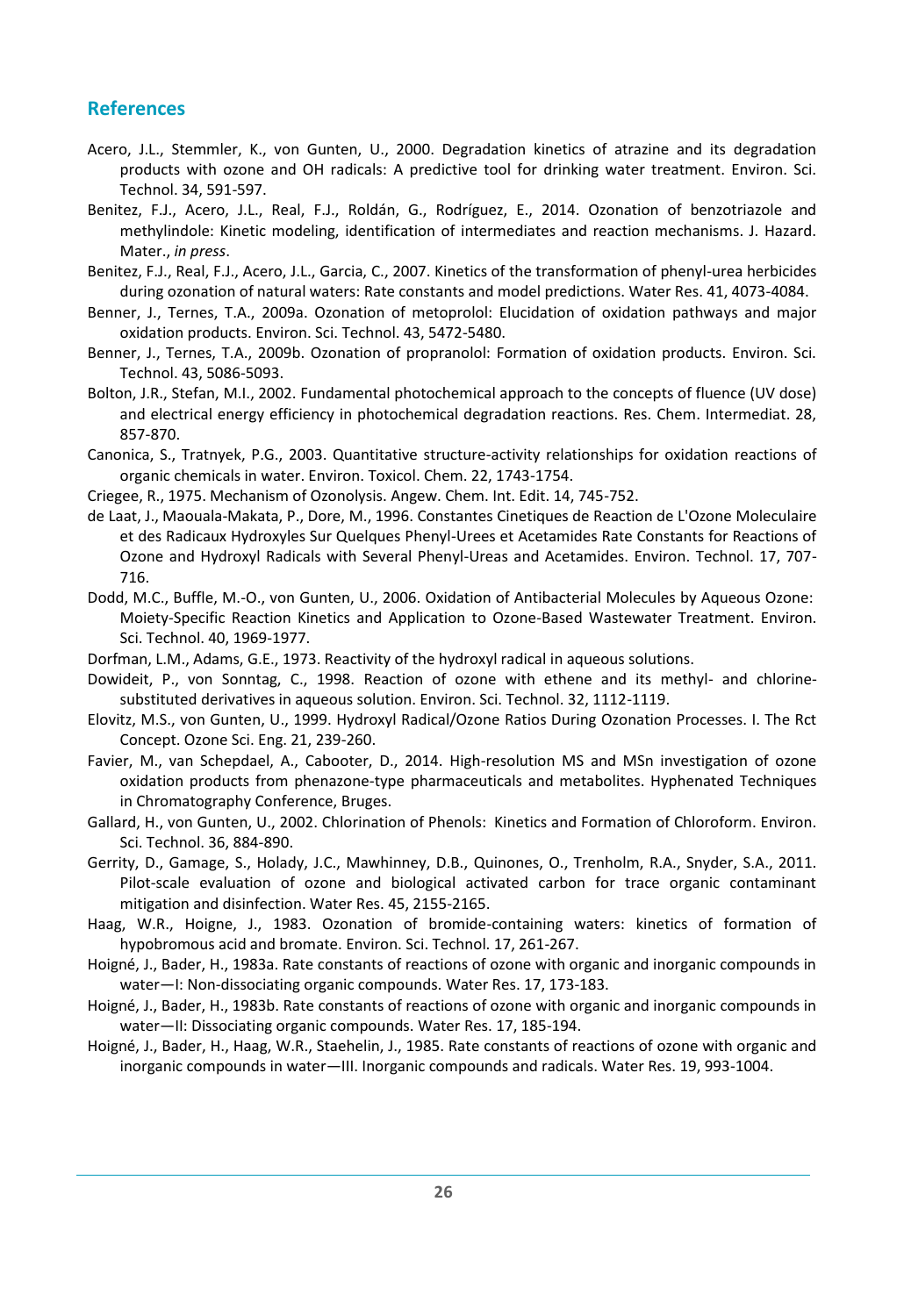## <span id="page-32-18"></span><span id="page-32-17"></span><span id="page-32-14"></span><span id="page-32-13"></span><span id="page-32-12"></span><span id="page-32-0"></span>**References**

- Acero, J.L., Stemmler, K., von Gunten, U., 2000. Degradation kinetics of atrazine and its degradation products with ozone and OH radicals: A predictive tool for drinking water treatment. Environ. Sci. Technol. 34, 591-597.
- <span id="page-32-20"></span><span id="page-32-6"></span>Benitez, F.J., Acero, J.L., Real, F.J., Roldán, G., Rodríguez, E., 2014. Ozonation of benzotriazole and methylindole: Kinetic modeling, identification of intermediates and reaction mechanisms. J. Hazard. Mater., *in press*.
- <span id="page-32-9"></span>Benitez, F.J., Real, F.J., Acero, J.L., Garcia, C., 2007. Kinetics of the transformation of phenyl-urea herbicides during ozonation of natural waters: Rate constants and model predictions. Water Res. 41, 4073-4084.
- <span id="page-32-10"></span>Benner, J., Ternes, T.A., 2009a. Ozonation of metoprolol: Elucidation of oxidation pathways and major oxidation products. Environ. Sci. Technol. 43, 5472-5480.
- <span id="page-32-19"></span><span id="page-32-7"></span>Benner, J., Ternes, T.A., 2009b. Ozonation of propranolol: Formation of oxidation products. Environ. Sci. Technol. 43, 5086-5093.
- <span id="page-32-3"></span>Bolton, J.R., Stefan, M.I., 2002. Fundamental photochemical approach to the concepts of fluence (UV dose) and electrical energy efficiency in photochemical degradation reactions. Res. Chem. Intermediat. 28, 857-870.
- <span id="page-32-21"></span>Canonica, S., Tratnyek, P.G., 2003. Quantitative structure-activity relationships for oxidation reactions of organic chemicals in water. Environ. Toxicol. Chem. 22, 1743-1754.
- <span id="page-32-4"></span>Criegee, R., 1975. Mechanism of Ozonolysis. Angew. Chem. Int. Edit. 14, 745-752.
- <span id="page-32-16"></span>de Laat, J., Maouala-Makata, P., Dore, M., 1996. Constantes Cinetiques de Reaction de L'Ozone Moleculaire et des Radicaux Hydroxyles Sur Quelques Phenyl-Urees et Acetamides Rate Constants for Reactions of Ozone and Hydroxyl Radicals with Several Phenyl-Ureas and Acetamides. Environ. Technol. 17, 707- 716.
- Dodd, M.C., Buffle, M.-O., von Gunten, U., 2006. Oxidation of Antibacterial Molecules by Aqueous Ozone: Moiety-Specific Reaction Kinetics and Application to Ozone-Based Wastewater Treatment. Environ. Sci. Technol. 40, 1969-1977.
- <span id="page-32-15"></span><span id="page-32-11"></span>Dorfman, L.M., Adams, G.E., 1973. Reactivity of the hydroxyl radical in aqueous solutions.
- <span id="page-32-5"></span>Dowideit, P., von Sonntag, C., 1998. Reaction of ozone with ethene and its methyl- and chlorinesubstituted derivatives in aqueous solution. Environ. Sci. Technol. 32, 1112-1119.
- <span id="page-32-23"></span>Elovitz, M.S., von Gunten, U., 1999. Hydroxyl Radical/Ozone Ratios During Ozonation Processes. I. The Rct Concept. Ozone Sci. Eng. 21, 239-260.
- Favier, M., van Schepdael, A., Cabooter, D., 2014. High-resolution MS and MSn investigation of ozone oxidation products from phenazone-type pharmaceuticals and metabolites. Hyphenated Techniques in Chromatography Conference, Bruges.
- <span id="page-32-22"></span>Gallard, H., von Gunten, U., 2002. Chlorination of Phenols: Kinetics and Formation of Chloroform. Environ. Sci. Technol. 36, 884-890.
- <span id="page-32-1"></span>Gerrity, D., Gamage, S., Holady, J.C., Mawhinney, D.B., Quinones, O., Trenholm, R.A., Snyder, S.A., 2011. Pilot-scale evaluation of ozone and biological activated carbon for trace organic contaminant mitigation and disinfection. Water Res. 45, 2155-2165.
- Haag, W.R., Hoigne, J., 1983. Ozonation of bromide-containing waters: kinetics of formation of hypobromous acid and bromate. Environ. Sci. Technol. 17, 261-267.
- <span id="page-32-2"></span>Hoigné, J., Bader, H., 1983a. Rate constants of reactions of ozone with organic and inorganic compounds in water—I: Non-dissociating organic compounds. Water Res. 17, 173-183.
- <span id="page-32-8"></span>Hoigné, J., Bader, H., 1983b. Rate constants of reactions of ozone with organic and inorganic compounds in water—II: Dissociating organic compounds. Water Res. 17, 185-194.
- Hoigné, J., Bader, H., Haag, W.R., Staehelin, J., 1985. Rate constants of reactions of ozone with organic and inorganic compounds in water—III. Inorganic compounds and radicals. Water Res. 19, 993-1004.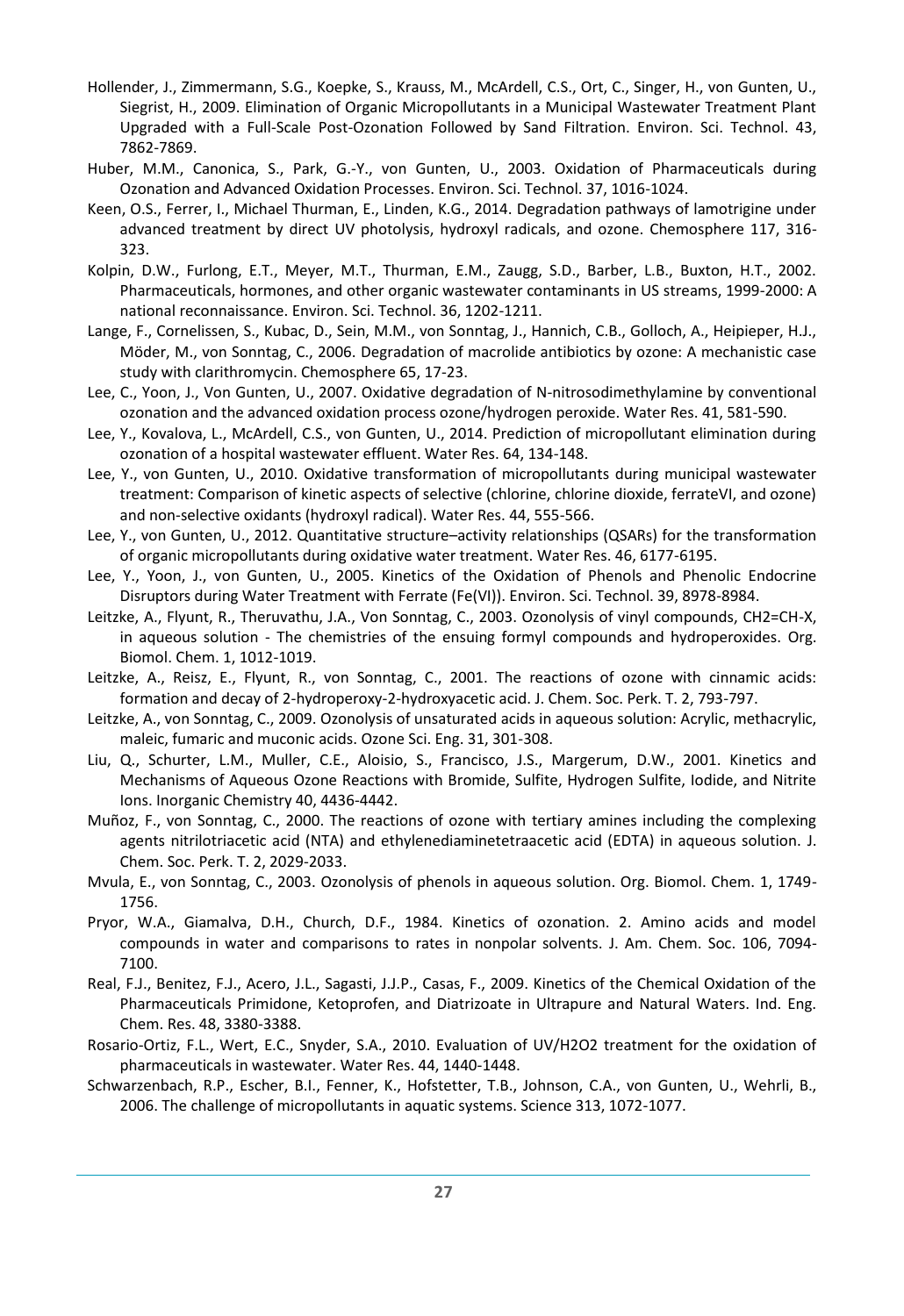- <span id="page-33-17"></span><span id="page-33-16"></span><span id="page-33-15"></span><span id="page-33-12"></span><span id="page-33-2"></span>Hollender, J., Zimmermann, S.G., Koepke, S., Krauss, M., McArdell, C.S., Ort, C., Singer, H., von Gunten, U., Siegrist, H., 2009. Elimination of Organic Micropollutants in a Municipal Wastewater Treatment Plant Upgraded with a Full-Scale Post-Ozonation Followed by Sand Filtration. Environ. Sci. Technol. 43, 7862-7869.
- Huber, M.M., Canonica, S., Park, G.-Y., von Gunten, U., 2003. Oxidation of Pharmaceuticals during Ozonation and Advanced Oxidation Processes. Environ. Sci. Technol. 37, 1016-1024.
- Keen, O.S., Ferrer, I., Michael Thurman, E., Linden, K.G., 2014. Degradation pathways of lamotrigine under advanced treatment by direct UV photolysis, hydroxyl radicals, and ozone. Chemosphere 117, 316- 323.
- <span id="page-33-14"></span><span id="page-33-1"></span>Kolpin, D.W., Furlong, E.T., Meyer, M.T., Thurman, E.M., Zaugg, S.D., Barber, L.B., Buxton, H.T., 2002. Pharmaceuticals, hormones, and other organic wastewater contaminants in US streams, 1999-2000: A national reconnaissance. Environ. Sci. Technol. 36, 1202-1211.
- <span id="page-33-13"></span><span id="page-33-11"></span>Lange, F., Cornelissen, S., Kubac, D., Sein, M.M., von Sonntag, J., Hannich, C.B., Golloch, A., Heipieper, H.J., Möder, M., von Sonntag, C., 2006. Degradation of macrolide antibiotics by ozone: A mechanistic case study with clarithromycin. Chemosphere 65, 17-23.
- Lee, C., Yoon, J., Von Gunten, U., 2007. Oxidative degradation of N-nitrosodimethylamine by conventional ozonation and the advanced oxidation process ozone/hydrogen peroxide. Water Res. 41, 581-590.
- <span id="page-33-20"></span>Lee, Y., Kovalova, L., McArdell, C.S., von Gunten, U., 2014. Prediction of micropollutant elimination during ozonation of a hospital wastewater effluent. Water Res. 64, 134-148.
- <span id="page-33-4"></span>Lee, Y., von Gunten, U., 2010. Oxidative transformation of micropollutants during municipal wastewater treatment: Comparison of kinetic aspects of selective (chlorine, chlorine dioxide, ferrateVI, and ozone) and non-selective oxidants (hydroxyl radical). Water Res. 44, 555-566.
- <span id="page-33-21"></span>Lee, Y., von Gunten, U., 2012. Quantitative structure–activity relationships (QSARs) for the transformation of organic micropollutants during oxidative water treatment. Water Res. 46, 6177-6195.
- <span id="page-33-19"></span><span id="page-33-18"></span>Lee, Y., Yoon, J., von Gunten, U., 2005. Kinetics of the Oxidation of Phenols and Phenolic Endocrine Disruptors during Water Treatment with Ferrate (Fe(VI)). Environ. Sci. Technol. 39, 8978-8984.
- <span id="page-33-6"></span>Leitzke, A., Flyunt, R., Theruvathu, J.A., Von Sonntag, C., 2003. Ozonolysis of vinyl compounds, CH2=CH-X, in aqueous solution - The chemistries of the ensuing formyl compounds and hydroperoxides. Org. Biomol. Chem. 1, 1012-1019.
- <span id="page-33-5"></span>Leitzke, A., Reisz, E., Flyunt, R., von Sonntag, C., 2001. The reactions of ozone with cinnamic acids: formation and decay of 2-hydroperoxy-2-hydroxyacetic acid. J. Chem. Soc. Perk. T. 2, 793-797.
- <span id="page-33-7"></span>Leitzke, A., von Sonntag, C., 2009. Ozonolysis of unsaturated acids in aqueous solution: Acrylic, methacrylic, maleic, fumaric and muconic acids. Ozone Sci. Eng. 31, 301-308.
- Liu, Q., Schurter, L.M., Muller, C.E., Aloisio, S., Francisco, J.S., Margerum, D.W., 2001. Kinetics and Mechanisms of Aqueous Ozone Reactions with Bromide, Sulfite, Hydrogen Sulfite, Iodide, and Nitrite Ions. Inorganic Chemistry 40, 4436-4442.
- <span id="page-33-9"></span>Muñoz, F., von Sonntag, C., 2000. The reactions of ozone with tertiary amines including the complexing agents nitrilotriacetic acid (NTA) and ethylenediaminetetraacetic acid (EDTA) in aqueous solution. J. Chem. Soc. Perk. T. 2, 2029-2033.
- <span id="page-33-8"></span>Mvula, E., von Sonntag, C., 2003. Ozonolysis of phenols in aqueous solution. Org. Biomol. Chem. 1, 1749- 1756.
- <span id="page-33-10"></span>Pryor, W.A., Giamalva, D.H., Church, D.F., 1984. Kinetics of ozonation. 2. Amino acids and model compounds in water and comparisons to rates in nonpolar solvents. J. Am. Chem. Soc. 106, 7094- 7100.
- Real, F.J., Benitez, F.J., Acero, J.L., Sagasti, J.J.P., Casas, F., 2009. Kinetics of the Chemical Oxidation of the Pharmaceuticals Primidone, Ketoprofen, and Diatrizoate in Ultrapure and Natural Waters. Ind. Eng. Chem. Res. 48, 3380-3388.
- <span id="page-33-3"></span>Rosario-Ortiz, F.L., Wert, E.C., Snyder, S.A., 2010. Evaluation of UV/H2O2 treatment for the oxidation of pharmaceuticals in wastewater. Water Res. 44, 1440-1448.
- <span id="page-33-0"></span>Schwarzenbach, R.P., Escher, B.I., Fenner, K., Hofstetter, T.B., Johnson, C.A., von Gunten, U., Wehrli, B., 2006. The challenge of micropollutants in aquatic systems. Science 313, 1072-1077.